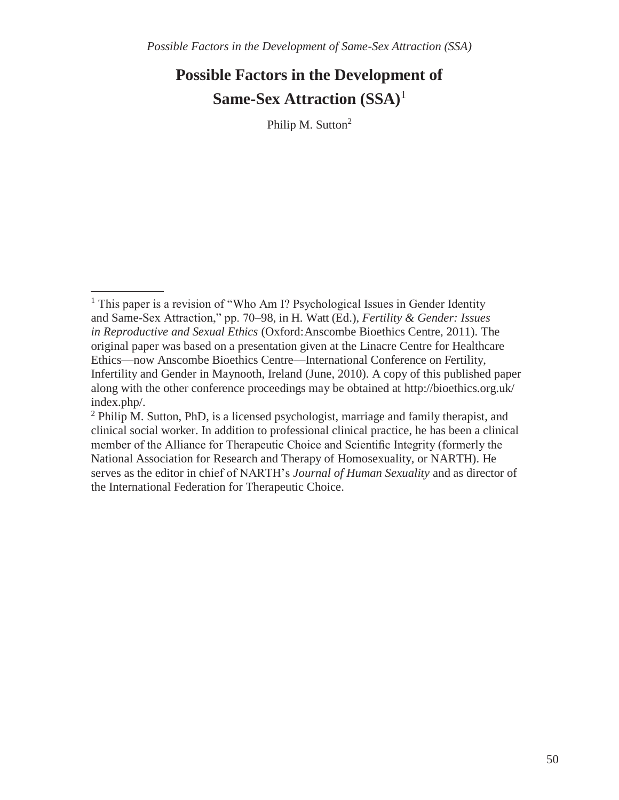Philip M. Sutton<sup>2</sup>

<sup>&</sup>lt;sup>1</sup> This paper is a revision of "Who Am I? Psychological Issues in Gender Identity and Same-Sex Attraction," pp. 70–98, in H. Watt (Ed.), *Fertility & Gender: Issues in Reproductive and Sexual Ethics* (Oxford:Anscombe Bioethics Centre, 2011). The original paper was based on a presentation given at the Linacre Centre for Healthcare Ethics—now Anscombe Bioethics Centre—International Conference on Fertility, Infertility and Gender in Maynooth, Ireland (June, 2010). A copy of this published paper along with the other conference proceedings may be obtained at<http://bioethics.org.uk/> index.php/.

 $2$  Philip M. Sutton, PhD, is a licensed psychologist, marriage and family therapist, and clinical social worker. In addition to professional clinical practice, he has been a clinical member of the Alliance for Therapeutic Choice and Scientific Integrity (formerly the National Association for Research and Therapy of Homosexuality, or NARTH). He serves as the editor in chief of NARTH's *Journal of Human Sexuality* and as director of the International Federation for Therapeutic Choice.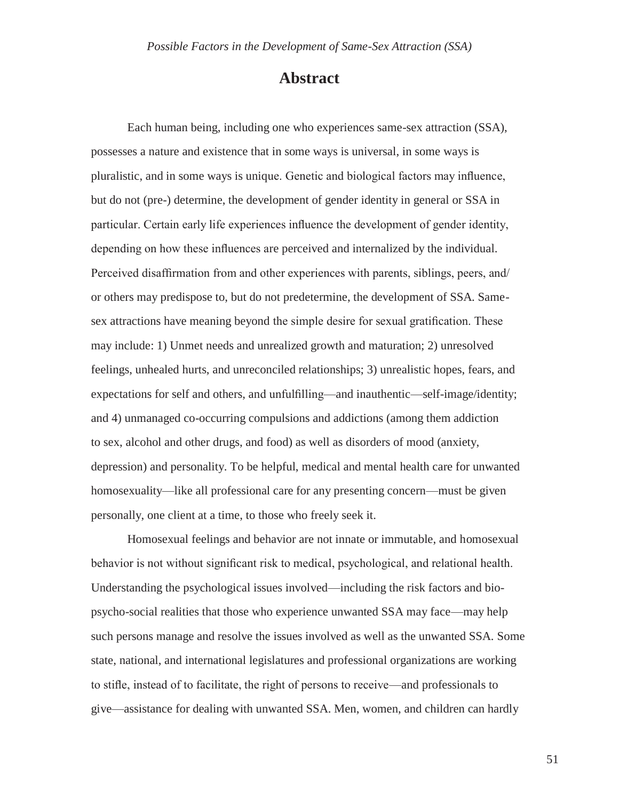### **Abstract**

Each human being, including one who experiences same-sex attraction (SSA), possesses a nature and existence that in some ways is universal, in some ways is pluralistic, and in some ways is unique. Genetic and biological factors may influence, but do not (pre-) determine, the development of gender identity in general or SSA in particular. Certain early life experiences influence the development of gender identity, depending on how these influences are perceived and internalized by the individual. Perceived disaffirmation from and other experiences with parents, siblings, peers, and/ or others may predispose to, but do not predetermine, the development of SSA. Samesex attractions have meaning beyond the simple desire for sexual gratification. These may include: 1) Unmet needs and unrealized growth and maturation; 2) unresolved feelings, unhealed hurts, and unreconciled relationships; 3) unrealistic hopes, fears, and expectations for self and others, and unfulfilling—and inauthentic—self-image/identity; and 4) unmanaged co-occurring compulsions and addictions (among them addiction to sex, alcohol and other drugs, and food) as well as disorders of mood (anxiety, depression) and personality. To be helpful, medical and mental health care for unwanted homosexuality—like all professional care for any presenting concern—must be given personally, one client at a time, to those who freely seek it.

Homosexual feelings and behavior are not innate or immutable, and homosexual behavior is not without significant risk to medical, psychological, and relational health. Understanding the psychological issues involved—including the risk factors and biopsycho-social realities that those who experience unwanted SSA may face—may help such persons manage and resolve the issues involved as well as the unwanted SSA. Some state, national, and international legislatures and professional organizations are working to stifle, instead of to facilitate, the right of persons to receive—and professionals to give—assistance for dealing with unwanted SSA. Men, women, and children can hardly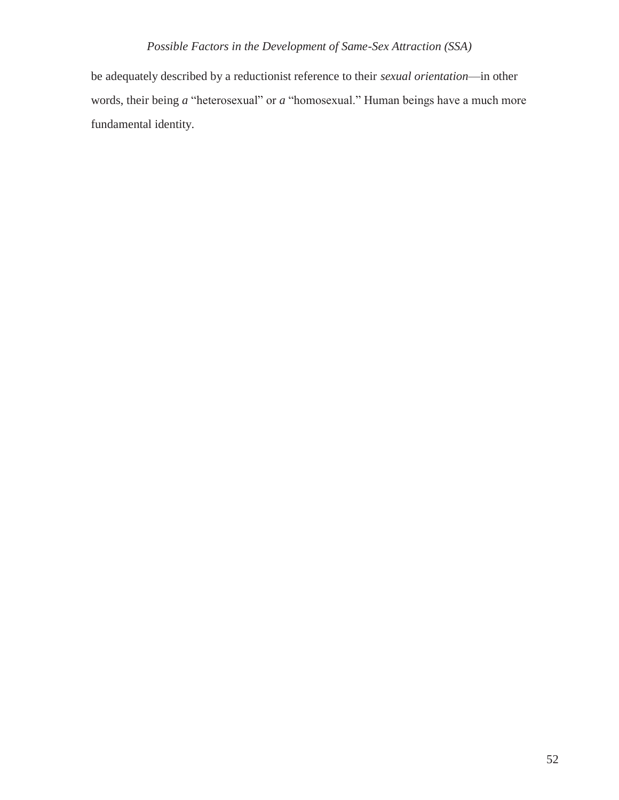be adequately described by a reductionist reference to their *sexual orientation*—in other words, their being *a* "heterosexual" or *a* "homosexual." Human beings have a much more fundamental identity.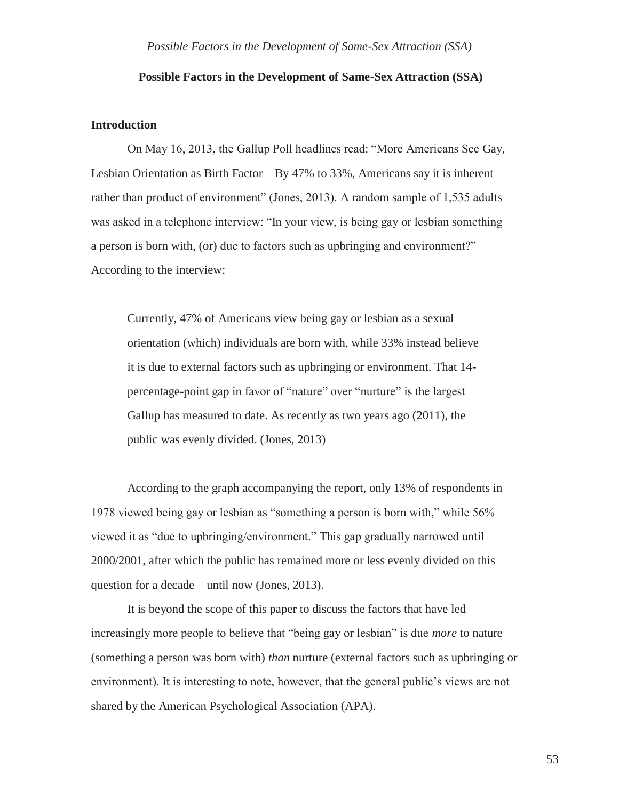#### **Introduction**

On May 16, 2013, the Gallup Poll headlines read: "More Americans See Gay, Lesbian Orientation as Birth Factor—By 47% to 33%, Americans say it is inherent rather than product of environment" (Jones, 2013). A random sample of 1,535 adults was asked in a telephone interview: "In your view, is being gay or lesbian something a person is born with, (or) due to factors such as upbringing and environment?" According to the interview:

Currently, 47% of Americans view being gay or lesbian as a sexual orientation (which) individuals are born with, while 33% instead believe it is due to external factors such as upbringing or environment. That 14 percentage-point gap in favor of "nature" over "nurture" is the largest Gallup has measured to date. As recently as two years ago (2011), the public was evenly divided. (Jones, 2013)

According to the graph accompanying the report, only 13% of respondents in 1978 viewed being gay or lesbian as "something a person is born with," while 56% viewed it as "due to upbringing/environment." This gap gradually narrowed until 2000/2001, after which the public has remained more or less evenly divided on this question for a decade—until now (Jones, 2013).

It is beyond the scope of this paper to discuss the factors that have led increasingly more people to believe that "being gay or lesbian" is due *more* to nature (something a person was born with) *than* nurture (external factors such as upbringing or environment). It is interesting to note, however, that the general public's views are not shared by the American Psychological Association (APA).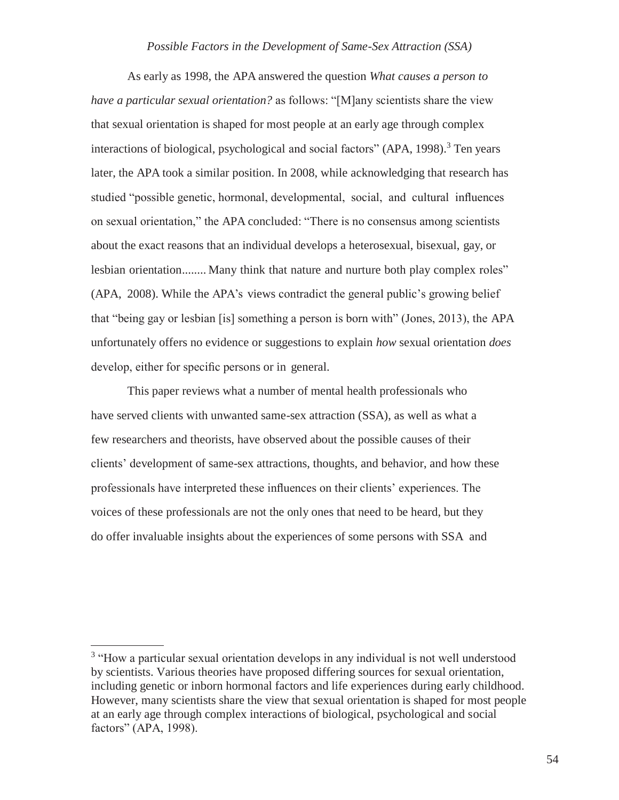As early as 1998, the APA answered the question *What causes a person to have a particular sexual orientation?* as follows: "[M]any scientists share the view that sexual orientation is shaped for most people at an early age through complex interactions of biological, psychological and social factors" (APA, 1998).<sup>3</sup> Ten years later, the APA took a similar position. In 2008, while acknowledging that research has studied "possible genetic, hormonal, developmental, social, and cultural influences on sexual orientation," the APA concluded: "There is no consensus among scientists about the exact reasons that an individual develops a heterosexual, bisexual, gay, or lesbian orientation........ Many think that nature and nurture both play complex roles" (APA, 2008). While the APA's views contradict the general public's growing belief that "being gay or lesbian [is] something a person is born with" (Jones, 2013), the APA unfortunately offers no evidence or suggestions to explain *how* sexual orientation *does*  develop, either for specific persons or in general.

This paper reviews what a number of mental health professionals who have served clients with unwanted same-sex attraction (SSA), as well as what a few researchers and theorists, have observed about the possible causes of their clients' development of same-sex attractions, thoughts, and behavior, and how these professionals have interpreted these influences on their clients' experiences. The voices of these professionals are not the only ones that need to be heard, but they do offer invaluable insights about the experiences of some persons with SSA and

<sup>&</sup>lt;sup>3</sup> "How a particular sexual orientation develops in any individual is not well understood by scientists. Various theories have proposed differing sources for sexual orientation, including genetic or inborn hormonal factors and life experiences during early childhood. However, many scientists share the view that sexual orientation is shaped for most people at an early age through complex interactions of biological, psychological and social factors" (APA, 1998).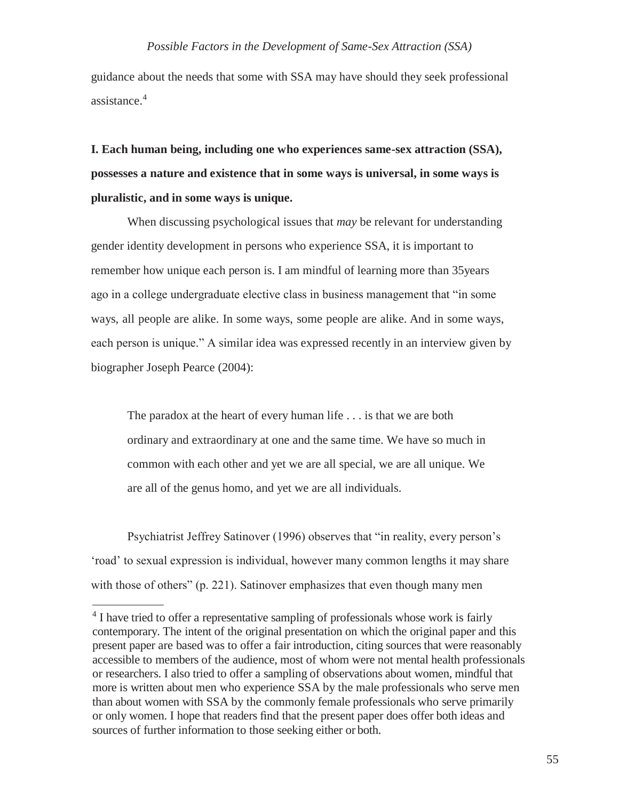guidance about the needs that some with SSA may have should they seek professional assistance.<sup>4</sup>

**I. Each human being, including one who experiences same-sex attraction (SSA), possesses a nature and existence that in some ways is universal, in some ways is pluralistic, and in some ways is unique.**

When discussing psychological issues that *may* be relevant for understanding gender identity development in persons who experience SSA, it is important to remember how unique each person is. I am mindful of learning more than 35years ago in a college undergraduate elective class in business management that "in some ways, all people are alike. In some ways, some people are alike. And in some ways, each person is unique." A similar idea was expressed recently in an interview given by biographer Joseph Pearce (2004):

The paradox at the heart of every human life . . . is that we are both ordinary and extraordinary at one and the same time. We have so much in common with each other and yet we are all special, we are all unique. We are all of the genus homo, and yet we are all individuals.

Psychiatrist Jeffrey Satinover (1996) observes that "in reality, every person's 'road' to sexual expression is individual, however many common lengths it may share with those of others" (p. 221). Satinover emphasizes that even though many men

<sup>&</sup>lt;sup>4</sup> I have tried to offer a representative sampling of professionals whose work is fairly contemporary. The intent of the original presentation on which the original paper and this present paper are based was to offer a fair introduction, citing sources that were reasonably accessible to members of the audience, most of whom were not mental health professionals or researchers. I also tried to offer a sampling of observations about women, mindful that more is written about men who experience SSA by the male professionals who serve men than about women with SSA by the commonly female professionals who serve primarily or only women. I hope that readers find that the present paper does offer both ideas and sources of further information to those seeking either or both.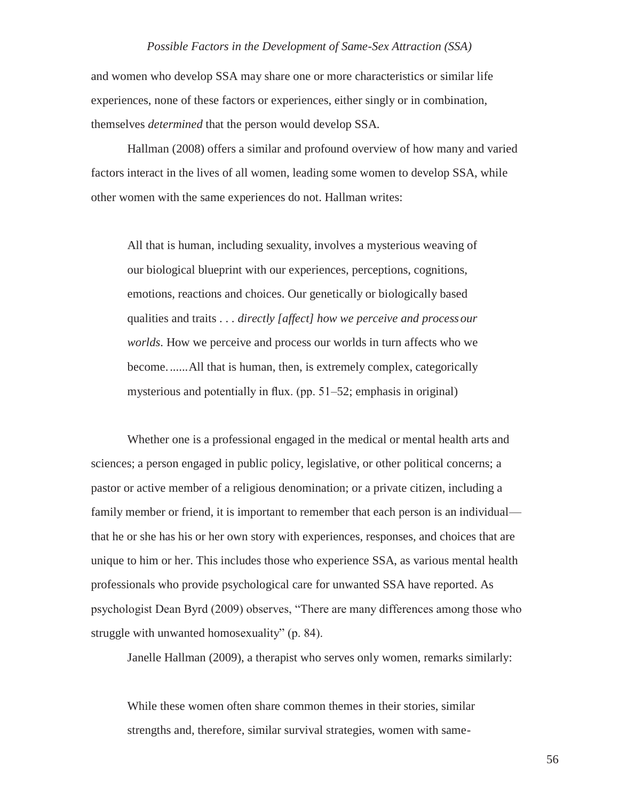and women who develop SSA may share one or more characteristics or similar life experiences, none of these factors or experiences, either singly or in combination, themselves *determined* that the person would develop SSA.

Hallman (2008) offers a similar and profound overview of how many and varied factors interact in the lives of all women, leading some women to develop SSA, while other women with the same experiences do not. Hallman writes:

All that is human, including sexuality, involves a mysterious weaving of our biological blueprint with our experiences, perceptions, cognitions, emotions, reactions and choices. Our genetically or biologically based qualities and traits . . . *directly [affect] how we perceive and processour worlds*. How we perceive and process our worlds in turn affects who we become.......All that is human, then, is extremely complex, categorically mysterious and potentially in flux. (pp. 51–52; emphasis in original)

Whether one is a professional engaged in the medical or mental health arts and sciences; a person engaged in public policy, legislative, or other political concerns; a pastor or active member of a religious denomination; or a private citizen, including a family member or friend, it is important to remember that each person is an individual that he or she has his or her own story with experiences, responses, and choices that are unique to him or her. This includes those who experience SSA, as various mental health professionals who provide psychological care for unwanted SSA have reported. As psychologist Dean Byrd (2009) observes, "There are many differences among those who struggle with unwanted homosexuality" (p. 84).

Janelle Hallman (2009), a therapist who serves only women, remarks similarly:

While these women often share common themes in their stories, similar strengths and, therefore, similar survival strategies, women with same-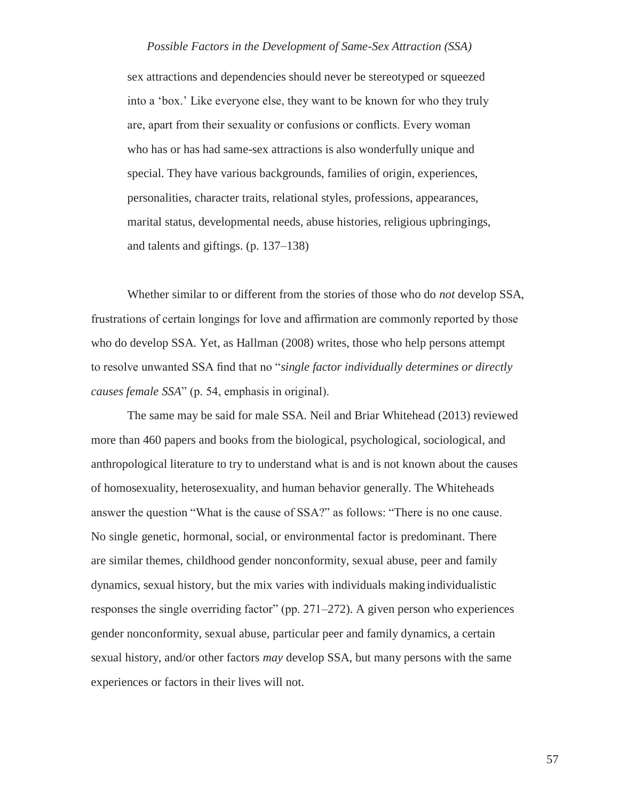sex attractions and dependencies should never be stereotyped or squeezed into a 'box.' Like everyone else, they want to be known for who they truly are, apart from their sexuality or confusions or conflicts. Every woman who has or has had same-sex attractions is also wonderfully unique and special. They have various backgrounds, families of origin, experiences, personalities, character traits, relational styles, professions, appearances, marital status, developmental needs, abuse histories, religious upbringings, and talents and giftings. (p. 137–138)

Whether similar to or different from the stories of those who do *not* develop SSA, frustrations of certain longings for love and affirmation are commonly reported by those who do develop SSA. Yet, as Hallman (2008) writes, those who help persons attempt to resolve unwanted SSA find that no "*single factor individually determines or directly causes female SSA*" (p. 54, emphasis in original).

The same may be said for male SSA. Neil and Briar Whitehead (2013) reviewed more than 460 papers and books from the biological, psychological, sociological, and anthropological literature to try to understand what is and is not known about the causes of homosexuality, heterosexuality, and human behavior generally. The Whiteheads answer the question "What is the cause of SSA?" as follows: "There is no one cause. No single genetic, hormonal, social, or environmental factor is predominant. There are similar themes, childhood gender nonconformity, sexual abuse, peer and family dynamics, sexual history, but the mix varies with individuals making individualistic responses the single overriding factor" (pp. 271–272). A given person who experiences gender nonconformity, sexual abuse, particular peer and family dynamics, a certain sexual history, and/or other factors *may* develop SSA, but many persons with the same experiences or factors in their lives will not.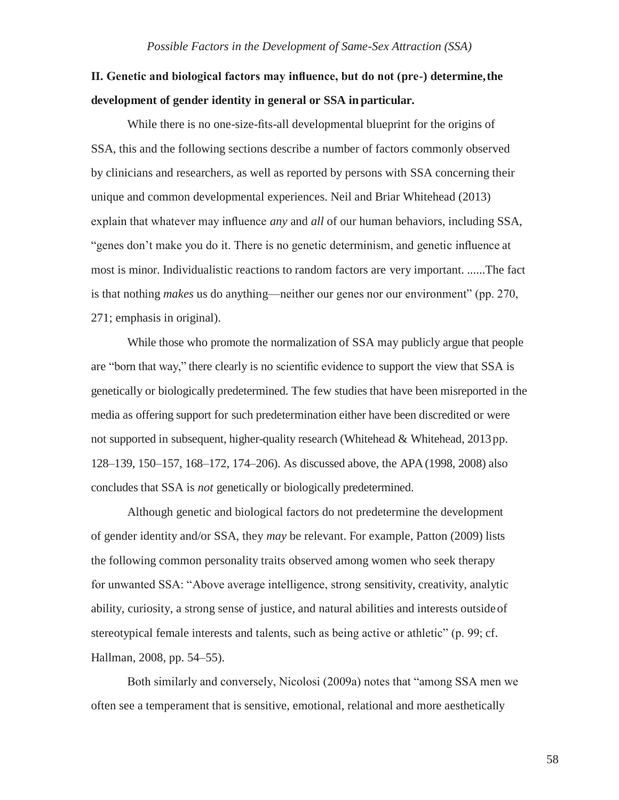## **II. Genetic and biological factors may influence, but do not (pre-) determine,the development of gender identity in general or SSA in particular.**

While there is no one-size-fits-all developmental blueprint for the origins of SSA, this and the following sections describe a number of factors commonly observed by clinicians and researchers, as well as reported by persons with SSA concerning their unique and common developmental experiences. Neil and Briar Whitehead (2013) explain that whatever may influence *any* and *all* of our human behaviors, including SSA, "genes don't make you do it. There is no genetic determinism, and genetic influence at most is minor. Individualistic reactions to random factors are very important. ......The fact is that nothing *makes* us do anything—neither our genes nor our environment" (pp. 270, 271; emphasis in original).

While those who promote the normalization of SSA may publicly argue that people are "born that way," there clearly is no scientific evidence to support the view that SSA is genetically or biologically predetermined. The few studies that have been misreported in the media as offering support for such predetermination either have been discredited or were not supported in subsequent, higher-quality research (Whitehead  $\&$  Whitehead, 2013 pp. 128–139, 150–157, 168–172, 174–206). As discussed above, the APA (1998, 2008) also concludes that SSA is *not* genetically or biologically predetermined.

Although genetic and biological factors do not predetermine the development of gender identity and/or SSA, they *may* be relevant. For example, Patton (2009) lists the following common personality traits observed among women who seek therapy for unwanted SSA: "Above average intelligence, strong sensitivity, creativity, analytic ability, curiosity, a strong sense of justice, and natural abilities and interests outsideof stereotypical female interests and talents, such as being active or athletic" (p. 99; cf. Hallman, 2008, pp. 54–55).

Both similarly and conversely, Nicolosi (2009a) notes that "among SSA men we often see a temperament that is sensitive, emotional, relational and more aesthetically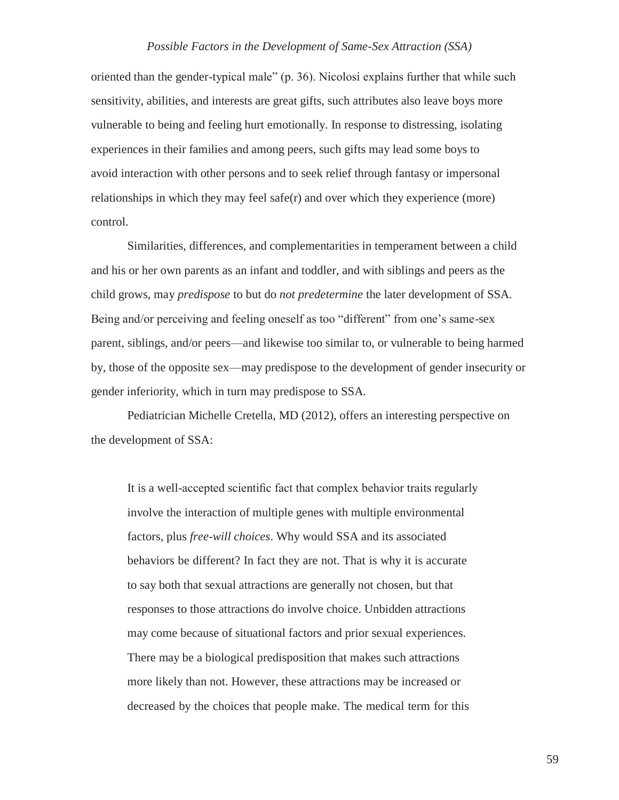oriented than the gender-typical male" (p. 36). Nicolosi explains further that while such sensitivity, abilities, and interests are great gifts, such attributes also leave boys more vulnerable to being and feeling hurt emotionally. In response to distressing, isolating experiences in their families and among peers, such gifts may lead some boys to avoid interaction with other persons and to seek relief through fantasy or impersonal relationships in which they may feel safe(r) and over which they experience (more) control.

Similarities, differences, and complementarities in temperament between a child and his or her own parents as an infant and toddler, and with siblings and peers as the child grows, may *predispose* to but do *not predetermine* the later development of SSA. Being and/or perceiving and feeling oneself as too "different" from one's same-sex parent, siblings, and/or peers—and likewise too similar to, or vulnerable to being harmed by, those of the opposite sex—may predispose to the development of gender insecurity or gender inferiority, which in turn may predispose to SSA.

Pediatrician Michelle Cretella, MD (2012), offers an interesting perspective on the development of SSA:

It is a well-accepted scientific fact that complex behavior traits regularly involve the interaction of multiple genes with multiple environmental factors, plus *free-will choices*. Why would SSA and its associated behaviors be different? In fact they are not. That is why it is accurate to say both that sexual attractions are generally not chosen, but that responses to those attractions do involve choice. Unbidden attractions may come because of situational factors and prior sexual experiences. There may be a biological predisposition that makes such attractions more likely than not. However, these attractions may be increased or decreased by the choices that people make. The medical term for this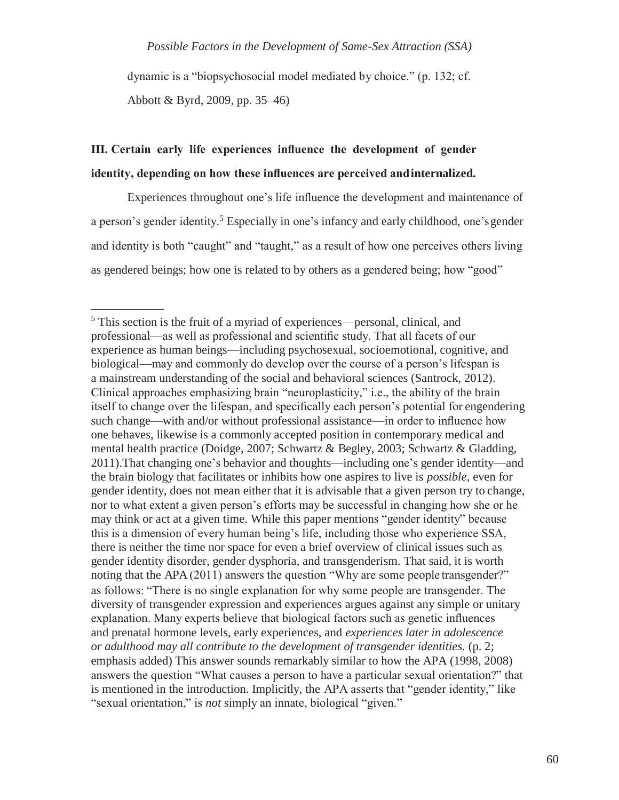dynamic is a "biopsychosocial model mediated by choice." (p. 132; cf. Abbott & Byrd, 2009, pp. 35–46)

## **III. Certain early life experiences influence the development of gender identity, depending on how these influences are perceived andinternalized.**

Experiences throughout one's life influence the development and maintenance of a person's gender identity.<sup>5</sup> Especially in one's infancy and early childhood, one's gender and identity is both "caught" and "taught," as a result of how one perceives others living as gendered beings; how one is related to by others as a gendered being; how "good"

<sup>5</sup> This section is the fruit of a myriad of experiences—personal, clinical, and professional—as well as professional and scientific study. That all facets of our experience as human beings—including psychosexual, socioemotional, cognitive, and biological—may and commonly do develop over the course of a person's lifespan is a mainstream understanding of the social and behavioral sciences (Santrock, 2012). Clinical approaches emphasizing brain "neuroplasticity," i.e., the ability of the brain itself to change over the lifespan, and specifically each person's potential for engendering such change—with and/or without professional assistance—in order to influence how one behaves, likewise is a commonly accepted position in contemporary medical and mental health practice (Doidge, 2007; Schwartz & Begley, 2003; Schwartz & Gladding, 2011).That changing one's behavior and thoughts—including one's gender identity—and the brain biology that facilitates or inhibits how one aspires to live is *possible,* even for gender identity, does not mean either that it is advisable that a given person try to change, nor to what extent a given person's efforts may be successful in changing how she or he may think or act at a given time. While this paper mentions "gender identity" because this is a dimension of every human being's life, including those who experience SSA, there is neither the time nor space for even a brief overview of clinical issues such as gender identity disorder, gender dysphoria, and transgenderism. That said, it is worth noting that the APA (2011) answers the question "Why are some people transgender?" as follows: "There is no single explanation for why some people are transgender. The diversity of transgender expression and experiences argues against any simple or unitary explanation. Many experts believe that biological factors such as genetic influences and prenatal hormone levels, early experiences, and *experiences later in adolescence or adulthood may all contribute to the development of transgender identities.* (p. 2; emphasis added) This answer sounds remarkably similar to how the APA (1998, 2008) answers the question "What causes a person to have a particular sexual orientation?" that is mentioned in the introduction. Implicitly, the APA asserts that "gender identity," like "sexual orientation," is *not* simply an innate, biological "given."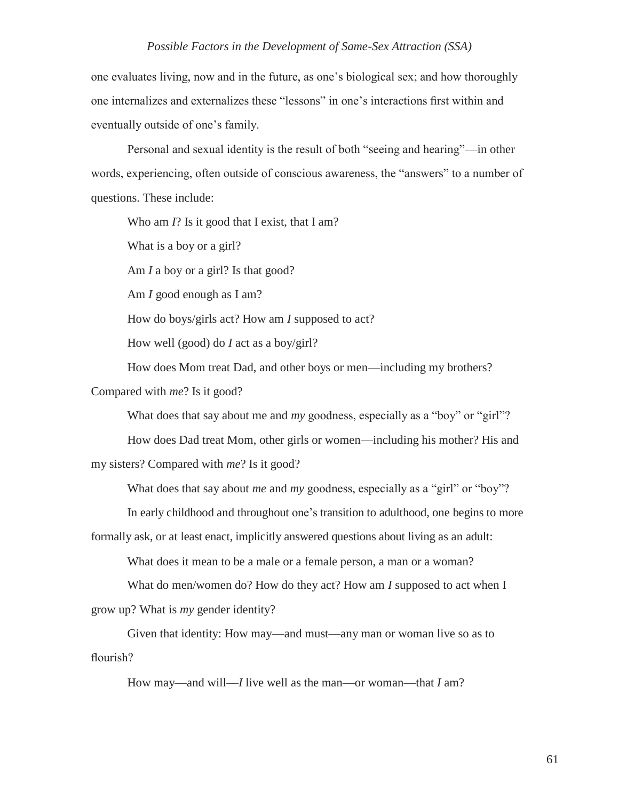one evaluates living, now and in the future, as one's biological sex; and how thoroughly one internalizes and externalizes these "lessons" in one's interactions first within and eventually outside of one's family.

Personal and sexual identity is the result of both "seeing and hearing"—in other words, experiencing, often outside of conscious awareness, the "answers" to a number of questions. These include:

Who am *I*? Is it good that I exist, that I am? What is a boy or a girl? Am *I* a boy or a girl? Is that good? Am *I* good enough as I am? How do boys/girls act? How am *I* supposed to act? How well (good) do *I* act as a boy/girl?

How does Mom treat Dad, and other boys or men—including my brothers? Compared with *me*? Is it good?

What does that say about me and *my* goodness, especially as a "boy" or "girl"?

How does Dad treat Mom, other girls or women—including his mother? His and my sisters? Compared with *me*? Is it good?

What does that say about *me* and *my* goodness, especially as a "girl" or "boy"?

In early childhood and throughout one's transition to adulthood, one begins to more

formally ask, or at least enact, implicitly answered questions about living as an adult:

What does it mean to be a male or a female person, a man or a woman?

What do men/women do? How do they act? How am *I* supposed to act when I grow up? What is *my* gender identity?

Given that identity: How may—and must—any man or woman live so as to flourish?

How may—and will—*I* live well as the man—or woman—that *I* am?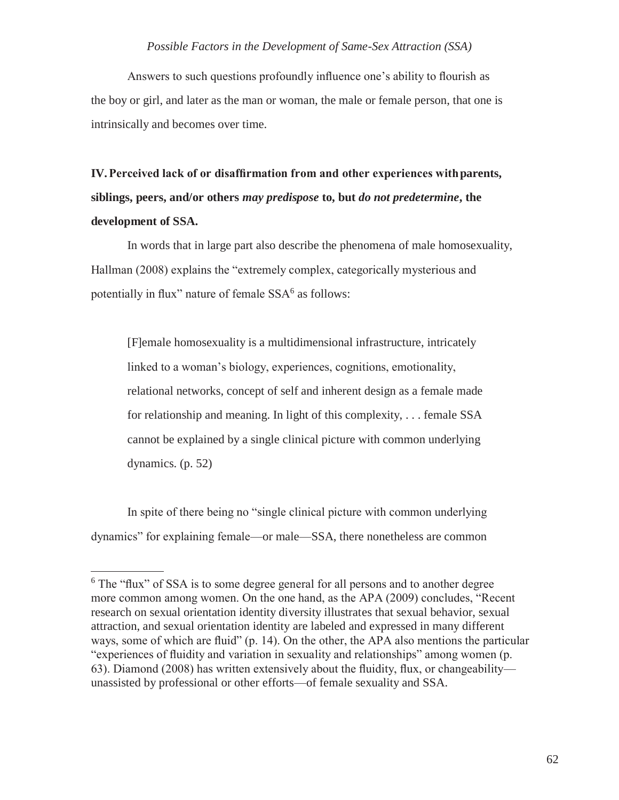Answers to such questions profoundly influence one's ability to flourish as the boy or girl, and later as the man or woman, the male or female person, that one is intrinsically and becomes over time.

**IV.Perceived lack of or disaffirmation from and other experiences withparents, siblings, peers, and/or others** *may predispose* **to, but** *do not predetermine***, the development of SSA.**

In words that in large part also describe the phenomena of male homosexuality, Hallman (2008) explains the "extremely complex, categorically mysterious and potentially in flux" nature of female SSA<sup>6</sup> as follows:

[F]emale homosexuality is a multidimensional infrastructure, intricately linked to a woman's biology, experiences, cognitions, emotionality, relational networks, concept of self and inherent design as a female made for relationship and meaning. In light of this complexity, . . . female SSA cannot be explained by a single clinical picture with common underlying dynamics. (p. 52)

In spite of there being no "single clinical picture with common underlying dynamics" for explaining female—or male—SSA, there nonetheless are common

<sup>6</sup> The "flux" of SSA is to some degree general for all persons and to another degree more common among women. On the one hand, as the APA (2009) concludes, "Recent research on sexual orientation identity diversity illustrates that sexual behavior, sexual attraction, and sexual orientation identity are labeled and expressed in many different ways, some of which are fluid" (p. 14). On the other, the APA also mentions the particular "experiences of fluidity and variation in sexuality and relationships" among women (p. 63). Diamond (2008) has written extensively about the fluidity, flux, or changeability unassisted by professional or other efforts—of female sexuality and SSA.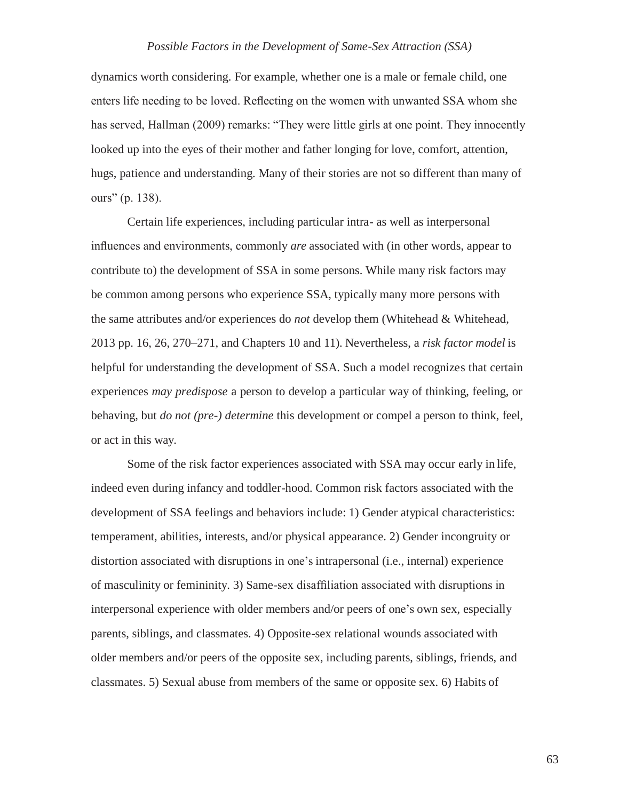dynamics worth considering. For example, whether one is a male or female child, one enters life needing to be loved. Reflecting on the women with unwanted SSA whom she has served, Hallman (2009) remarks: "They were little girls at one point. They innocently looked up into the eyes of their mother and father longing for love, comfort, attention, hugs, patience and understanding. Many of their stories are not so different than many of ours" (p. 138).

Certain life experiences, including particular intra*-* as well as interpersonal influences and environments, commonly *are* associated with (in other words, appear to contribute to) the development of SSA in some persons. While many risk factors may be common among persons who experience SSA, typically many more persons with the same attributes and/or experiences do *not* develop them (Whitehead & Whitehead, 2013 pp. 16, 26, 270–271, and Chapters 10 and 11). Nevertheless, a *risk factor model* is helpful for understanding the development of SSA. Such a model recognizes that certain experiences *may predispose* a person to develop a particular way of thinking, feeling, or behaving, but *do not (pre-) determine* this development or compel a person to think, feel, or act in this way.

Some of the risk factor experiences associated with SSA may occur early in life, indeed even during infancy and toddler-hood. Common risk factors associated with the development of SSA feelings and behaviors include: 1) Gender atypical characteristics: temperament, abilities, interests, and/or physical appearance. 2) Gender incongruity or distortion associated with disruptions in one's intrapersonal (i.e., internal) experience of masculinity or femininity. 3) Same-sex disaffiliation associated with disruptions in interpersonal experience with older members and/or peers of one's own sex, especially parents, siblings, and classmates. 4) Opposite-sex relational wounds associated with older members and/or peers of the opposite sex, including parents, siblings, friends, and classmates. 5) Sexual abuse from members of the same or opposite sex. 6) Habits of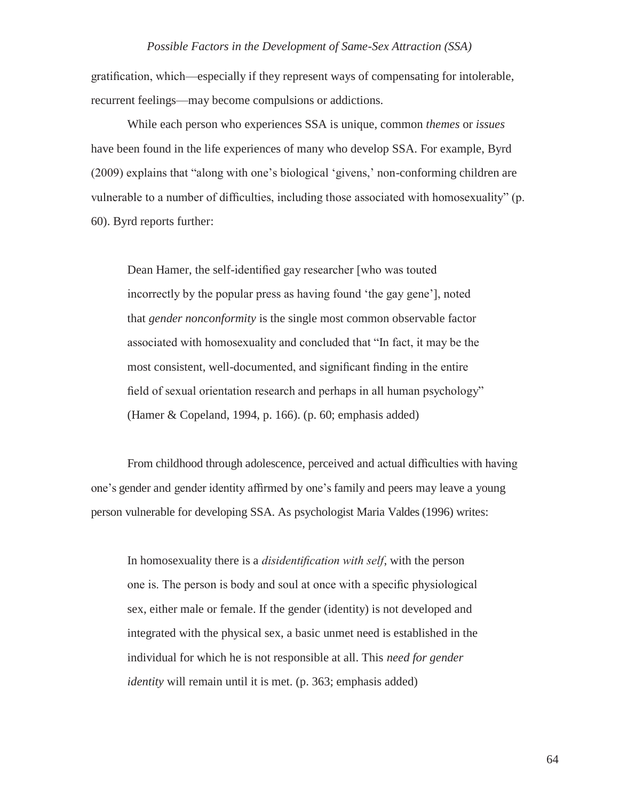gratification, which—especially if they represent ways of compensating for intolerable, recurrent feelings—may become compulsions or addictions.

While each person who experiences SSA is unique, common *themes* or *issues*  have been found in the life experiences of many who develop SSA. For example, Byrd (2009) explains that "along with one's biological 'givens,' non-conforming children are vulnerable to a number of difficulties, including those associated with homosexuality" (p. 60). Byrd reports further:

Dean Hamer, the self-identified gay researcher [who was touted incorrectly by the popular press as having found 'the gay gene'], noted that *gender nonconformity* is the single most common observable factor associated with homosexuality and concluded that "In fact, it may be the most consistent, well-documented, and significant finding in the entire field of sexual orientation research and perhaps in all human psychology" (Hamer & Copeland, 1994, p. 166). (p. 60; emphasis added)

From childhood through adolescence, perceived and actual difficulties with having one's gender and gender identity affirmed by one's family and peers may leave a young person vulnerable for developing SSA. As psychologist Maria Valdes (1996) writes:

In homosexuality there is a *disidentification with self*, with the person one is. The person is body and soul at once with a specific physiological sex, either male or female. If the gender (identity) is not developed and integrated with the physical sex, a basic unmet need is established in the individual for which he is not responsible at all. This *need for gender identity* will remain until it is met. (p. 363; emphasis added)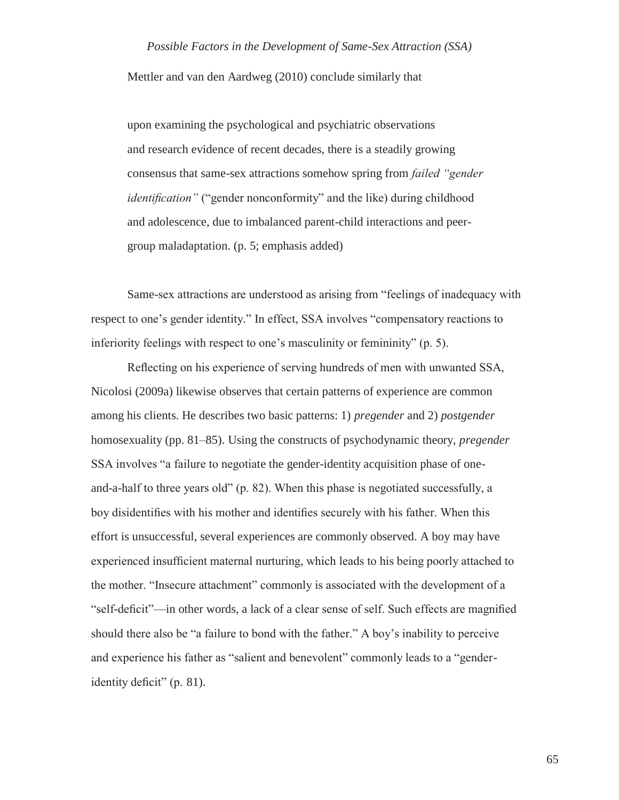Mettler and van den Aardweg (2010) conclude similarly that

upon examining the psychological and psychiatric observations and research evidence of recent decades, there is a steadily growing consensus that same-sex attractions somehow spring from *failed "gender identification*" ("gender nonconformity" and the like) during childhood and adolescence, due to imbalanced parent-child interactions and peergroup maladaptation. (p. 5; emphasis added)

Same-sex attractions are understood as arising from "feelings of inadequacy with respect to one's gender identity." In effect, SSA involves "compensatory reactions to inferiority feelings with respect to one's masculinity or femininity" (p. 5).

Reflecting on his experience of serving hundreds of men with unwanted SSA, Nicolosi (2009a) likewise observes that certain patterns of experience are common among his clients. He describes two basic patterns: 1) *pregender* and 2) *postgender*  homosexuality (pp. 81–85). Using the constructs of psychodynamic theory, *pregender*  SSA involves "a failure to negotiate the gender-identity acquisition phase of oneand-a-half to three years old" (p. 82). When this phase is negotiated successfully, a boy disidentifies with his mother and identifies securely with his father. When this effort is unsuccessful, several experiences are commonly observed. A boy may have experienced insufficient maternal nurturing, which leads to his being poorly attached to the mother. "Insecure attachment" commonly is associated with the development of a "self-deficit"—in other words, a lack of a clear sense of self. Such effects are magnified should there also be "a failure to bond with the father." A boy's inability to perceive and experience his father as "salient and benevolent" commonly leads to a "genderidentity deficit" (p. 81).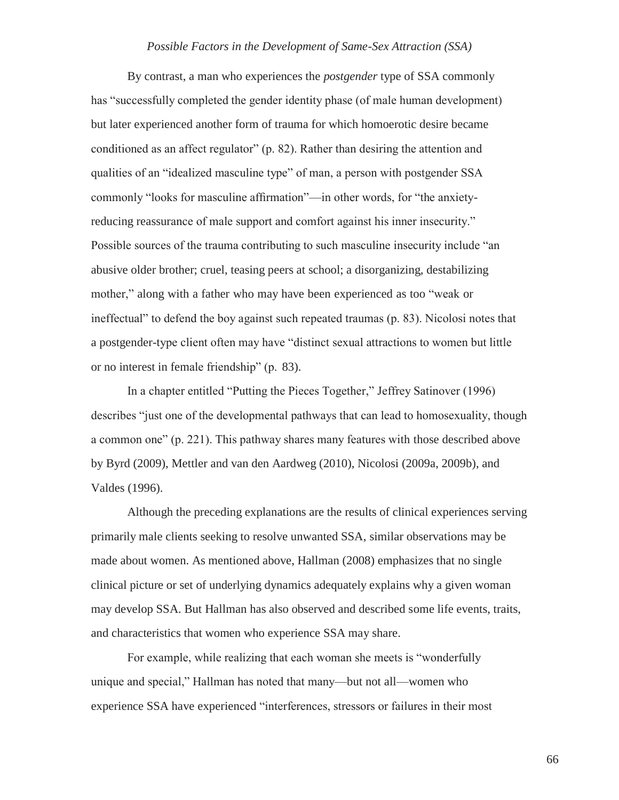By contrast, a man who experiences the *postgender* type of SSA commonly has "successfully completed the gender identity phase (of male human development) but later experienced another form of trauma for which homoerotic desire became conditioned as an affect regulator" (p. 82). Rather than desiring the attention and qualities of an "idealized masculine type" of man, a person with postgender SSA commonly "looks for masculine affirmation"—in other words, for "the anxietyreducing reassurance of male support and comfort against his inner insecurity." Possible sources of the trauma contributing to such masculine insecurity include "an abusive older brother; cruel, teasing peers at school; a disorganizing, destabilizing mother," along with a father who may have been experienced as too "weak or ineffectual" to defend the boy against such repeated traumas (p. 83). Nicolosi notes that a postgender-type client often may have "distinct sexual attractions to women but little or no interest in female friendship" (p. 83).

In a chapter entitled "Putting the Pieces Together," Jeffrey Satinover (1996) describes "just one of the developmental pathways that can lead to homosexuality, though a common one" (p. 221). This pathway shares many features with those described above by Byrd (2009), Mettler and van den Aardweg (2010), Nicolosi (2009a, 2009b), and Valdes (1996).

Although the preceding explanations are the results of clinical experiences serving primarily male clients seeking to resolve unwanted SSA, similar observations may be made about women. As mentioned above, Hallman (2008) emphasizes that no single clinical picture or set of underlying dynamics adequately explains why a given woman may develop SSA. But Hallman has also observed and described some life events, traits, and characteristics that women who experience SSA may share.

For example, while realizing that each woman she meets is "wonderfully unique and special," Hallman has noted that many—but not all—women who experience SSA have experienced "interferences, stressors or failures in their most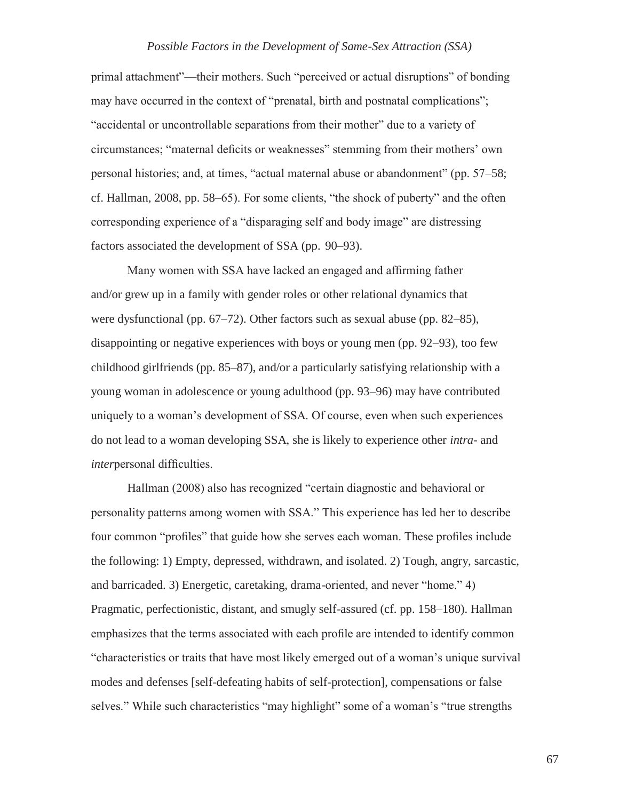primal attachment"—their mothers. Such "perceived or actual disruptions" of bonding may have occurred in the context of "prenatal, birth and postnatal complications"; "accidental or uncontrollable separations from their mother" due to a variety of circumstances; "maternal deficits or weaknesses" stemming from their mothers' own personal histories; and, at times, "actual maternal abuse or abandonment" (pp. 57–58; cf. Hallman, 2008, pp. 58–65). For some clients, "the shock of puberty" and the often corresponding experience of a "disparaging self and body image" are distressing factors associated the development of SSA (pp. 90–93).

Many women with SSA have lacked an engaged and affirming father and/or grew up in a family with gender roles or other relational dynamics that were dysfunctional (pp. 67–72). Other factors such as sexual abuse (pp. 82–85), disappointing or negative experiences with boys or young men (pp. 92–93), too few childhood girlfriends (pp. 85–87), and/or a particularly satisfying relationship with a young woman in adolescence or young adulthood (pp. 93–96) may have contributed uniquely to a woman's development of SSA. Of course, even when such experiences do not lead to a woman developing SSA, she is likely to experience other *intra*- and *inter*personal difficulties.

Hallman (2008) also has recognized "certain diagnostic and behavioral or personality patterns among women with SSA." This experience has led her to describe four common "profiles" that guide how she serves each woman. These profiles include the following: 1) Empty, depressed, withdrawn, and isolated. 2) Tough, angry, sarcastic, and barricaded. 3) Energetic, caretaking, drama-oriented, and never "home." 4) Pragmatic, perfectionistic, distant, and smugly self-assured (cf. pp. 158–180). Hallman emphasizes that the terms associated with each profile are intended to identify common "characteristics or traits that have most likely emerged out of a woman's unique survival modes and defenses [self-defeating habits of self-protection], compensations or false selves." While such characteristics "may highlight" some of a woman's "true strengths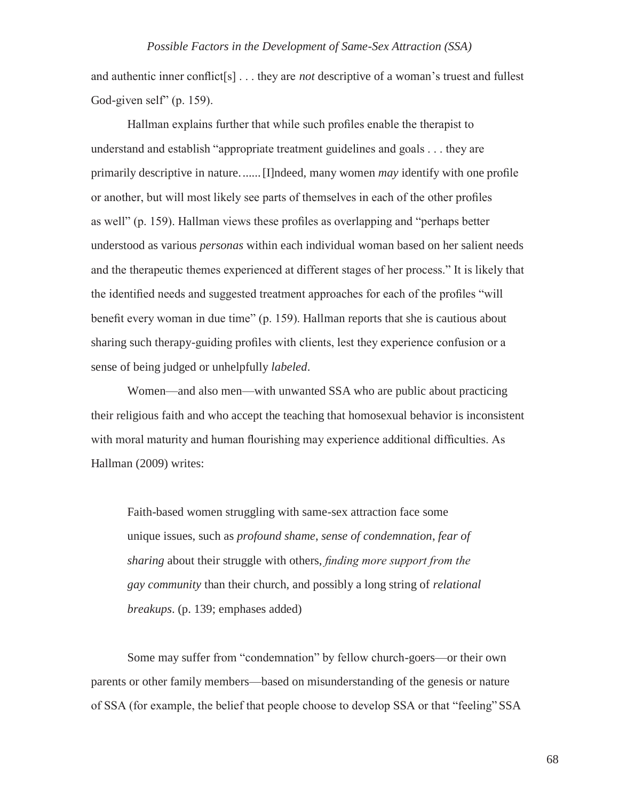and authentic inner conflict[s] . . . they are *not* descriptive of a woman's truest and fullest God-given self" (p. 159).

Hallman explains further that while such profiles enable the therapist to understand and establish "appropriate treatment guidelines and goals . . . they are primarily descriptive in nature.......[I]ndeed, many women *may* identify with one profile or another, but will most likely see parts of themselves in each of the other profiles as well" (p. 159). Hallman views these profiles as overlapping and "perhaps better understood as various *personas* within each individual woman based on her salient needs and the therapeutic themes experienced at different stages of her process." It is likely that the identified needs and suggested treatment approaches for each of the profiles "will benefit every woman in due time" (p. 159). Hallman reports that she is cautious about sharing such therapy-guiding profiles with clients, lest they experience confusion or a sense of being judged or unhelpfully *labeled*.

Women—and also men—with unwanted SSA who are public about practicing their religious faith and who accept the teaching that homosexual behavior is inconsistent with moral maturity and human flourishing may experience additional difficulties. As Hallman (2009) writes:

Faith-based women struggling with same-sex attraction face some unique issues, such as *profound shame*, *sense of condemnation*, *fear of sharing* about their struggle with others, *finding more support from the gay community* than their church, and possibly a long string of *relational breakups*. (p. 139; emphases added)

Some may suffer from "condemnation" by fellow church-goers—or their own parents or other family members—based on misunderstanding of the genesis or nature of SSA (for example, the belief that people choose to develop SSA or that "feeling" SSA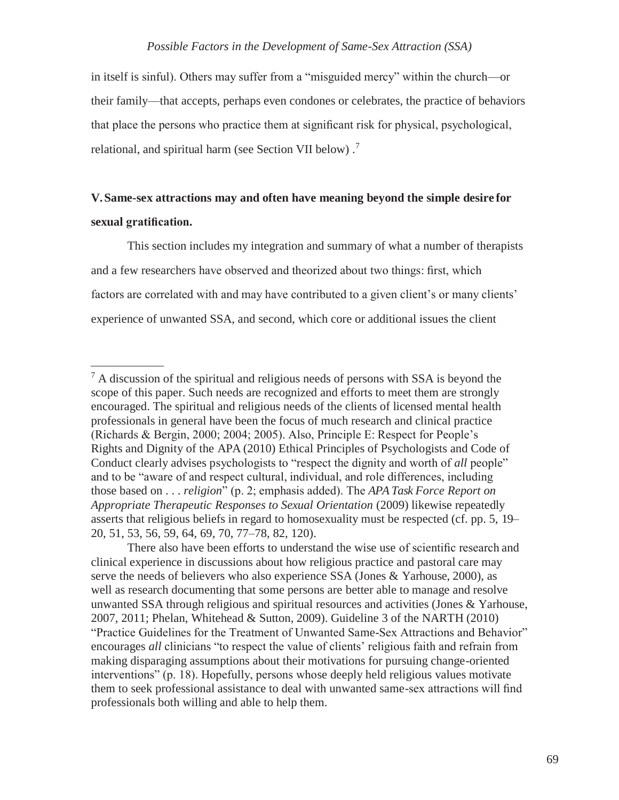in itself is sinful). Others may suffer from a "misguided mercy" within the church—or their family—that accepts, perhaps even condones or celebrates, the practice of behaviors that place the persons who practice them at significant risk for physical, psychological, relational, and spiritual harm (see Section VII below).<sup>7</sup>

## **V.Same-sex attractions may and often have meaning beyond the simple desire for sexual gratification.**

This section includes my integration and summary of what a number of therapists and a few researchers have observed and theorized about two things: first, which factors are correlated with and may have contributed to a given client's or many clients' experience of unwanted SSA, and second, which core or additional issues the client

 $<sup>7</sup>$  A discussion of the spiritual and religious needs of persons with SSA is beyond the</sup> scope of this paper. Such needs are recognized and efforts to meet them are strongly encouraged. The spiritual and religious needs of the clients of licensed mental health professionals in general have been the focus of much research and clinical practice (Richards & Bergin, 2000; 2004; 2005). Also, Principle E: Respect for People's Rights and Dignity of the APA (2010) Ethical Principles of Psychologists and Code of Conduct clearly advises psychologists to "respect the dignity and worth of *all* people" and to be "aware of and respect cultural, individual, and role differences, including those based on . . . *religion*" (p. 2; emphasis added). The *APA Task Force Report on Appropriate Therapeutic Responses to Sexual Orientation* (2009) likewise repeatedly asserts that religious beliefs in regard to homosexuality must be respected (cf. pp. 5, 19– 20, 51, 53, 56, 59, 64, 69, 70, 77–78, 82, 120).

There also have been efforts to understand the wise use of scientific research and clinical experience in discussions about how religious practice and pastoral care may serve the needs of believers who also experience SSA (Jones & Yarhouse, 2000), as well as research documenting that some persons are better able to manage and resolve unwanted SSA through religious and spiritual resources and activities (Jones & Yarhouse, 2007, 2011; Phelan, Whitehead & Sutton, 2009). Guideline 3 of the NARTH (2010) "Practice Guidelines for the Treatment of Unwanted Same-Sex Attractions and Behavior" encourages *all* clinicians "to respect the value of clients' religious faith and refrain from making disparaging assumptions about their motivations for pursuing change-oriented interventions" (p. 18). Hopefully, persons whose deeply held religious values motivate them to seek professional assistance to deal with unwanted same-sex attractions will find professionals both willing and able to help them.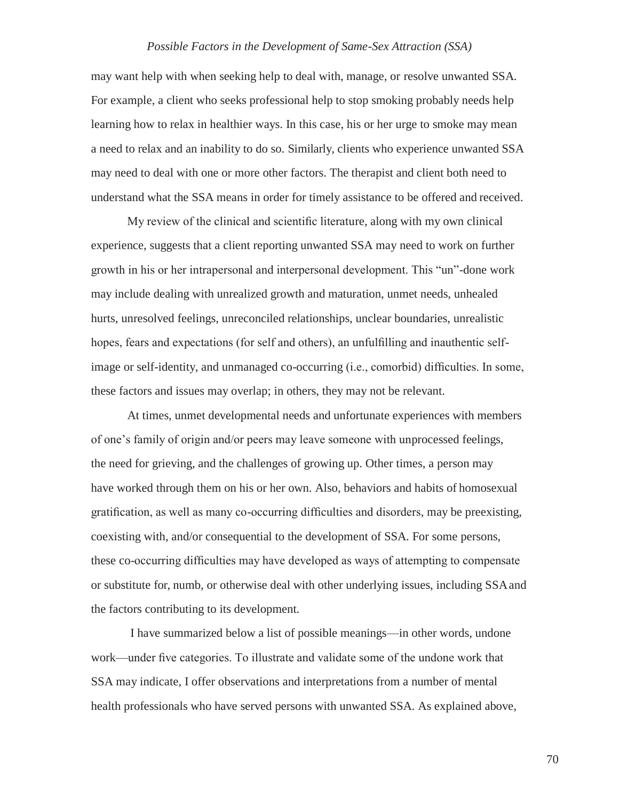may want help with when seeking help to deal with, manage, or resolve unwanted SSA. For example, a client who seeks professional help to stop smoking probably needs help learning how to relax in healthier ways. In this case, his or her urge to smoke may mean a need to relax and an inability to do so. Similarly, clients who experience unwanted SSA may need to deal with one or more other factors. The therapist and client both need to understand what the SSA means in order for timely assistance to be offered and received.

My review of the clinical and scientific literature, along with my own clinical experience, suggests that a client reporting unwanted SSA may need to work on further growth in his or her intrapersonal and interpersonal development. This "un"-done work may include dealing with unrealized growth and maturation, unmet needs, unhealed hurts, unresolved feelings, unreconciled relationships, unclear boundaries, unrealistic hopes, fears and expectations (for self and others), an unfulfilling and inauthentic selfimage or self-identity, and unmanaged co-occurring (i.e., comorbid) difficulties. In some, these factors and issues may overlap; in others, they may not be relevant.

At times, unmet developmental needs and unfortunate experiences with members of one's family of origin and/or peers may leave someone with unprocessed feelings, the need for grieving, and the challenges of growing up. Other times, a person may have worked through them on his or her own. Also, behaviors and habits of homosexual gratification, as well as many co-occurring difficulties and disorders, may be preexisting, coexisting with, and/or consequential to the development of SSA. For some persons, these co-occurring difficulties may have developed as ways of attempting to compensate or substitute for, numb, or otherwise deal with other underlying issues, including SSAand the factors contributing to its development.

I have summarized below a list of possible meanings—in other words, undone work—under five categories. To illustrate and validate some of the undone work that SSA may indicate, I offer observations and interpretations from a number of mental health professionals who have served persons with unwanted SSA. As explained above,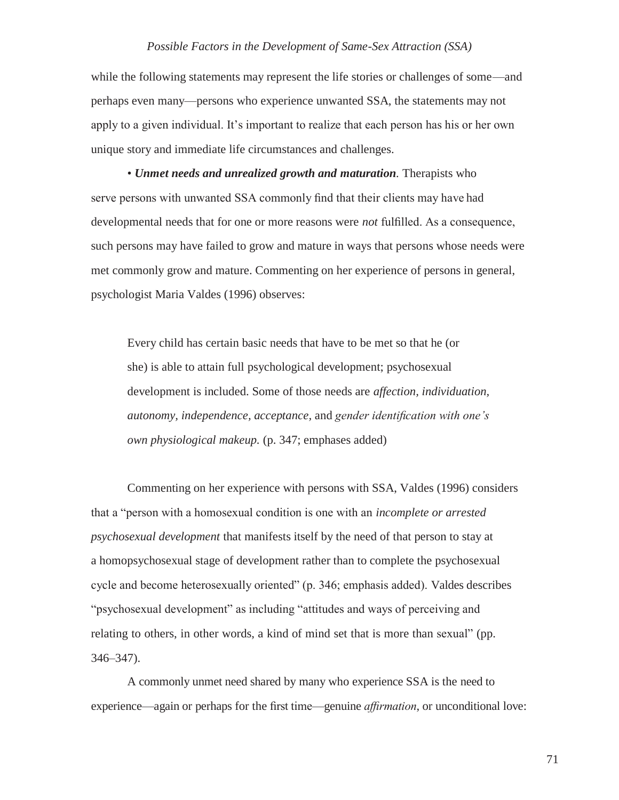while the following statements may represent the life stories or challenges of some—and perhaps even many—persons who experience unwanted SSA, the statements may not apply to a given individual. It's important to realize that each person has his or her own unique story and immediate life circumstances and challenges.

• *Unmet needs and unrealized growth and maturation.* Therapists who serve persons with unwanted SSA commonly find that their clients may have had developmental needs that for one or more reasons were *not* fulfilled. As a consequence, such persons may have failed to grow and mature in ways that persons whose needs were met commonly grow and mature. Commenting on her experience of persons in general, psychologist Maria Valdes (1996) observes:

Every child has certain basic needs that have to be met so that he (or she) is able to attain full psychological development; psychosexual development is included. Some of those needs are *affection, individuation, autonomy, independence, acceptance,* and *gender identification with one's own physiological makeup.* (p. 347; emphases added)

Commenting on her experience with persons with SSA, Valdes (1996) considers that a "person with a homosexual condition is one with an *incomplete or arrested psychosexual development* that manifests itself by the need of that person to stay at a homopsychosexual stage of development rather than to complete the psychosexual cycle and become heterosexually oriented" (p. 346; emphasis added). Valdes describes "psychosexual development" as including "attitudes and ways of perceiving and relating to others, in other words, a kind of mind set that is more than sexual" (pp. 346–347).

A commonly unmet need shared by many who experience SSA is the need to experience—again or perhaps for the first time—genuine *affirmation*, or unconditional love: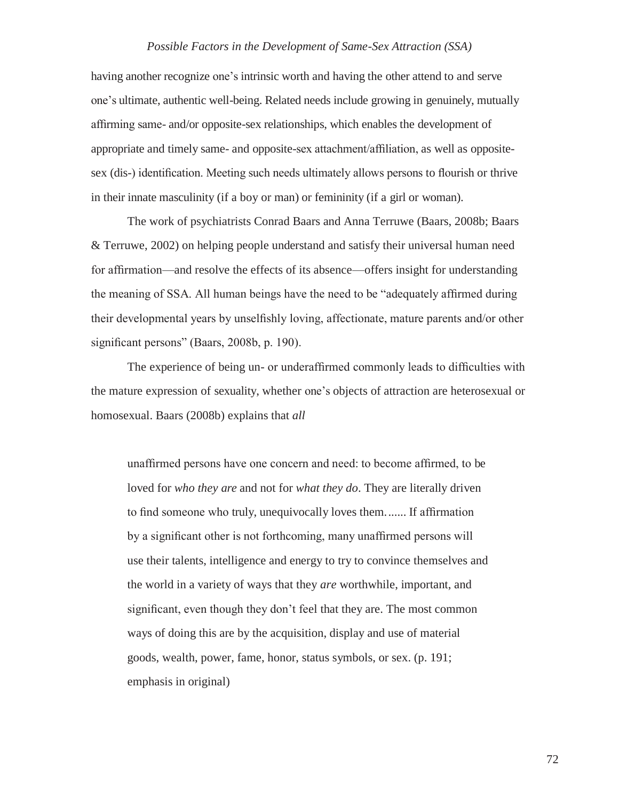having another recognize one's intrinsic worth and having the other attend to and serve one's ultimate, authentic well-being. Related needs include growing in genuinely, mutually affirming same- and/or opposite-sex relationships, which enables the development of appropriate and timely same- and opposite-sex attachment/affiliation, as well as oppositesex (dis-) identification. Meeting such needs ultimately allows persons to flourish or thrive in their innate masculinity (if a boy or man) or femininity (if a girl or woman).

The work of psychiatrists Conrad Baars and Anna Terruwe (Baars, 2008b; Baars & Terruwe, 2002) on helping people understand and satisfy their universal human need for affirmation—and resolve the effects of its absence—offers insight for understanding the meaning of SSA. All human beings have the need to be "adequately affirmed during their developmental years by unselfishly loving, affectionate, mature parents and/or other significant persons" (Baars, 2008b, p. 190).

The experience of being un- or underaffirmed commonly leads to difficulties with the mature expression of sexuality, whether one's objects of attraction are heterosexual or homosexual. Baars (2008b) explains that *all*

unaffirmed persons have one concern and need: to become affirmed, to be loved for *who they are* and not for *what they do*. They are literally driven to find someone who truly, unequivocally loves them....... If affirmation by a significant other is not forthcoming, many unaffirmed persons will use their talents, intelligence and energy to try to convince themselves and the world in a variety of ways that they *are* worthwhile, important, and significant, even though they don't feel that they are. The most common ways of doing this are by the acquisition, display and use of material goods, wealth, power, fame, honor, status symbols, or sex. (p. 191; emphasis in original)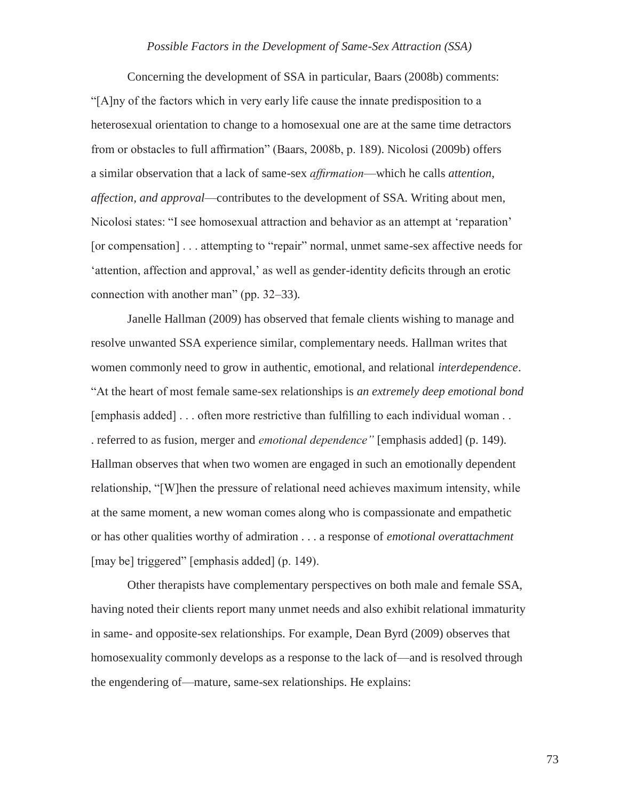Concerning the development of SSA in particular, Baars (2008b) comments: "[A]ny of the factors which in very early life cause the innate predisposition to a heterosexual orientation to change to a homosexual one are at the same time detractors from or obstacles to full affirmation" (Baars, 2008b, p. 189). Nicolosi (2009b) offers a similar observation that a lack of same-sex *affirmation*—which he calls *attention*, *affection, and approval*—contributes to the development of SSA. Writing about men, Nicolosi states: "I see homosexual attraction and behavior as an attempt at 'reparation' [or compensation] . . . attempting to "repair" normal, unmet same-sex affective needs for 'attention, affection and approval,' as well as gender-identity deficits through an erotic connection with another man" (pp. 32–33).

Janelle Hallman (2009) has observed that female clients wishing to manage and resolve unwanted SSA experience similar, complementary needs. Hallman writes that women commonly need to grow in authentic, emotional, and relational *interdependence*. "At the heart of most female same-sex relationships is *an extremely deep emotional bond*  [emphasis added] . . . often more restrictive than fulfilling to each individual woman . . . referred to as fusion, merger and *emotional dependence"* [emphasis added] (p. 149). Hallman observes that when two women are engaged in such an emotionally dependent relationship, "[W]hen the pressure of relational need achieves maximum intensity, while at the same moment, a new woman comes along who is compassionate and empathetic or has other qualities worthy of admiration . . . a response of *emotional overattachment*  [may be] triggered" [emphasis added] (p. 149).

Other therapists have complementary perspectives on both male and female SSA, having noted their clients report many unmet needs and also exhibit relational immaturity in same- and opposite-sex relationships. For example, Dean Byrd (2009) observes that homosexuality commonly develops as a response to the lack of—and is resolved through the engendering of—mature, same-sex relationships. He explains: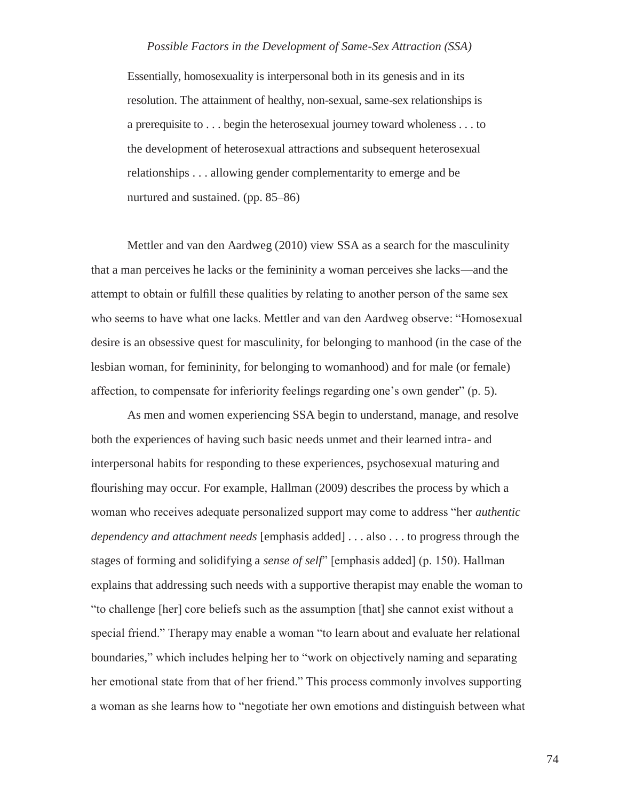Essentially, homosexuality is interpersonal both in its genesis and in its resolution. The attainment of healthy, non-sexual, same-sex relationships is a prerequisite to . . . begin the heterosexual journey toward wholeness . . . to the development of heterosexual attractions and subsequent heterosexual relationships . . . allowing gender complementarity to emerge and be nurtured and sustained. (pp. 85–86)

Mettler and van den Aardweg (2010) view SSA as a search for the masculinity that a man perceives he lacks or the femininity a woman perceives she lacks—and the attempt to obtain or fulfill these qualities by relating to another person of the same sex who seems to have what one lacks. Mettler and van den Aardweg observe: "Homosexual desire is an obsessive quest for masculinity, for belonging to manhood (in the case of the lesbian woman, for femininity, for belonging to womanhood) and for male (or female) affection, to compensate for inferiority feelings regarding one's own gender" (p. 5).

As men and women experiencing SSA begin to understand, manage, and resolve both the experiences of having such basic needs unmet and their learned intra- and interpersonal habits for responding to these experiences, psychosexual maturing and flourishing may occur. For example, Hallman (2009) describes the process by which a woman who receives adequate personalized support may come to address "her *authentic dependency and attachment needs* [emphasis added] . . . also . . . to progress through the stages of forming and solidifying a *sense of self*" [emphasis added] (p. 150). Hallman explains that addressing such needs with a supportive therapist may enable the woman to "to challenge [her] core beliefs such as the assumption [that] she cannot exist without a special friend." Therapy may enable a woman "to learn about and evaluate her relational boundaries*,*" which includes helping her to "work on objectively naming and separating her emotional state from that of her friend." This process commonly involves supporting a woman as she learns how to "negotiate her own emotions and distinguish between what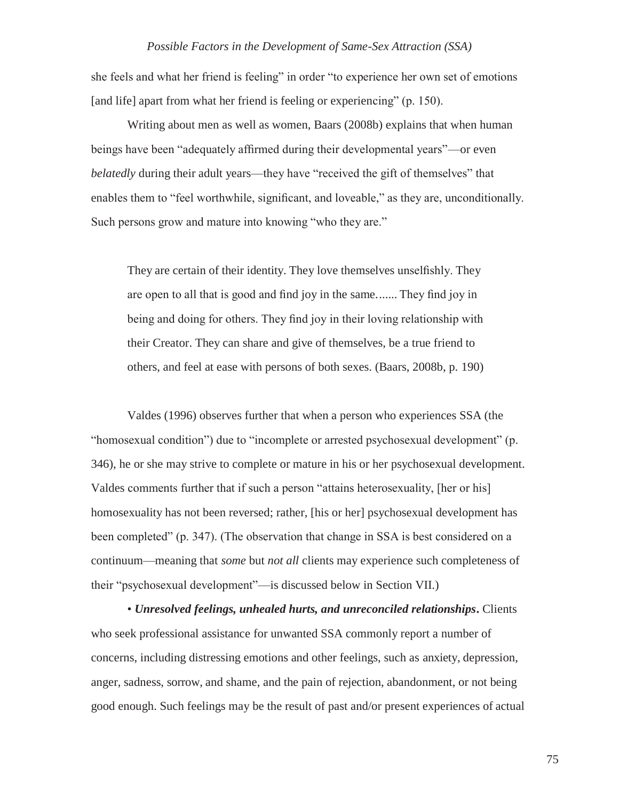she feels and what her friend is feeling" in order "to experience her own set of emotions [and life] apart from what her friend is feeling or experiencing" (p. 150).

Writing about men as well as women, Baars (2008b) explains that when human beings have been "adequately affirmed during their developmental years"—or even *belatedly* during their adult years—they have "received the gift of themselves" that enables them to "feel worthwhile, significant, and loveable," as they are, unconditionally. Such persons grow and mature into knowing "who they are."

They are certain of their identity. They love themselves unselfishly. They are open to all that is good and find joy in the same....... They find joy in being and doing for others. They find joy in their loving relationship with their Creator. They can share and give of themselves, be a true friend to others, and feel at ease with persons of both sexes. (Baars, 2008b, p. 190)

Valdes (1996) observes further that when a person who experiences SSA (the "homosexual condition") due to "incomplete or arrested psychosexual development" (p. 346), he or she may strive to complete or mature in his or her psychosexual development. Valdes comments further that if such a person "attains heterosexuality, [her or his] homosexuality has not been reversed; rather, [his or her] psychosexual development has been completed" (p. 347). (The observation that change in SSA is best considered on a continuum—meaning that *some* but *not all* clients may experience such completeness of their "psychosexual development"—is discussed below in Section VII.)

• *Unresolved feelings, unhealed hurts, and unreconciled relationships***.** Clients who seek professional assistance for unwanted SSA commonly report a number of concerns, including distressing emotions and other feelings, such as anxiety, depression, anger, sadness, sorrow, and shame, and the pain of rejection, abandonment, or not being good enough. Such feelings may be the result of past and/or present experiences of actual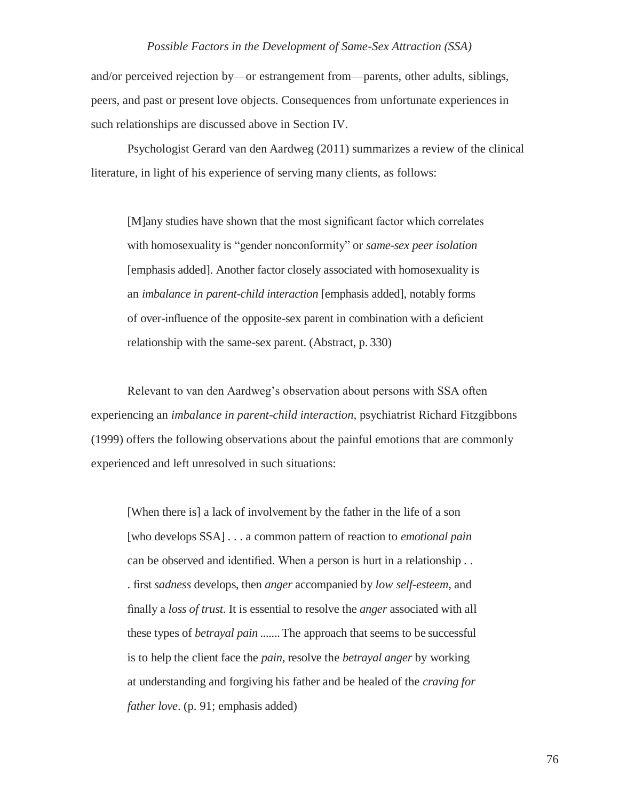and/or perceived rejection by—or estrangement from—parents, other adults, siblings, peers, and past or present love objects. Consequences from unfortunate experiences in such relationships are discussed above in Section IV.

Psychologist Gerard van den Aardweg (2011) summarizes a review of the clinical literature, in light of his experience of serving many clients, as follows:

[M]any studies have shown that the most significant factor which correlates with homosexuality is "gender nonconformity" or *same-sex peer isolation*  [emphasis added]. Another factor closely associated with homosexuality is an *imbalance in parent-child interaction* [emphasis added], notably forms of over-influence of the opposite-sex parent in combination with a deficient relationship with the same-sex parent. (Abstract, p. 330)

Relevant to van den Aardweg's observation about persons with SSA often experiencing an *imbalance in parent-child interaction,* psychiatrist Richard Fitzgibbons (1999) offers the following observations about the painful emotions that are commonly experienced and left unresolved in such situations:

[When there is] a lack of involvement by the father in the life of a son [who develops SSA] . . . a common pattern of reaction to *emotional pain*  can be observed and identified. When a person is hurt in a relationship . . . first *sadness* develops, then *anger* accompanied by *low self-esteem*, and finally a *loss of trust*. It is essential to resolve the *anger* associated with all these types of *betrayal pain .......*The approach that seems to be successful is to help the client face the *pain*, resolve the *betrayal anger* by working at understanding and forgiving his father and be healed of the *craving for father love*. (p. 91; emphasis added)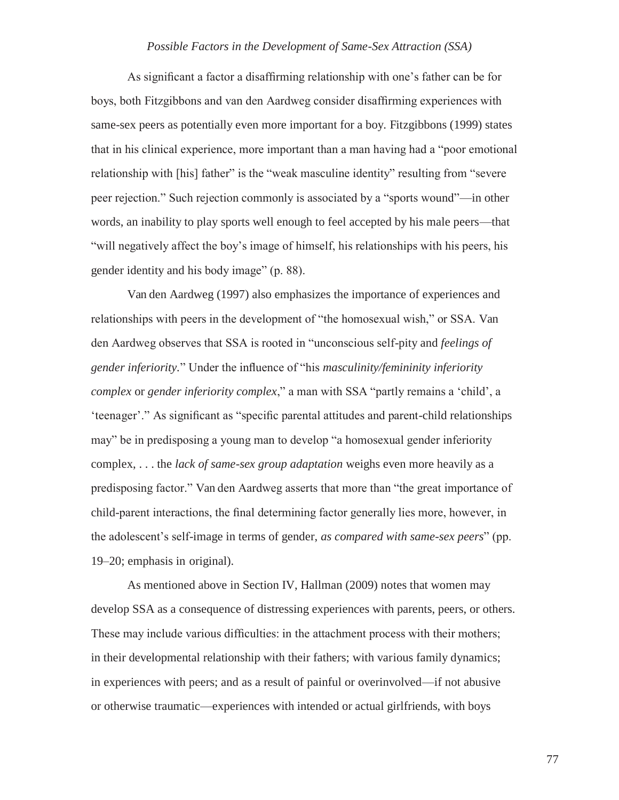As significant a factor a disaffirming relationship with one's father can be for boys, both Fitzgibbons and van den Aardweg consider disaffirming experiences with same-sex peers as potentially even more important for a boy. Fitzgibbons (1999) states that in his clinical experience, more important than a man having had a "poor emotional relationship with [his] father" is the "weak masculine identity" resulting from "severe peer rejection." Such rejection commonly is associated by a "sports wound"—in other words, an inability to play sports well enough to feel accepted by his male peers—that "will negatively affect the boy's image of himself, his relationships with his peers, his gender identity and his body image" (p. 88).

Van den Aardweg (1997) also emphasizes the importance of experiences and relationships with peers in the development of "the homosexual wish," or SSA. Van den Aardweg observes that SSA is rooted in "unconscious self-pity and *feelings of gender inferiority.*" Under the influence of "his *masculinity/femininity inferiority complex* or *gender inferiority complex*," a man with SSA "partly remains a 'child', a 'teenager'." As significant as "specific parental attitudes and parent-child relationships may" be in predisposing a young man to develop "a homosexual gender inferiority complex, . . . the *lack of same-sex group adaptation* weighs even more heavily as a predisposing factor." Van den Aardweg asserts that more than "the great importance of child-parent interactions, the final determining factor generally lies more, however, in the adolescent's self-image in terms of gender, *as compared with same-sex peers*" (pp. 19–20; emphasis in original).

As mentioned above in Section IV, Hallman (2009) notes that women may develop SSA as a consequence of distressing experiences with parents, peers, or others. These may include various difficulties: in the attachment process with their mothers; in their developmental relationship with their fathers; with various family dynamics; in experiences with peers; and as a result of painful or overinvolved—if not abusive or otherwise traumatic—experiences with intended or actual girlfriends, with boys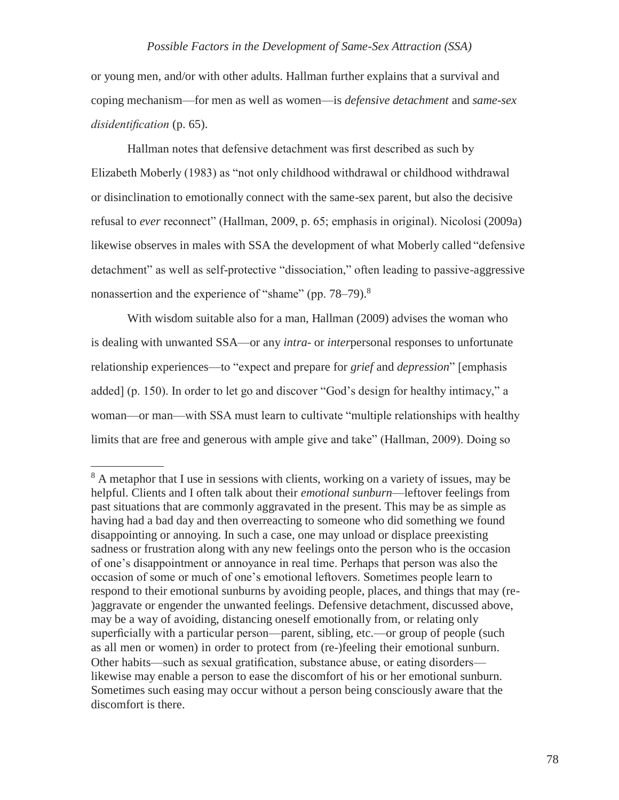or young men, and/or with other adults. Hallman further explains that a survival and coping mechanism—for men as well as women—is *defensive detachment* and *same-sex disidentification* (p. 65).

Hallman notes that defensive detachment was first described as such by Elizabeth Moberly (1983) as "not only childhood withdrawal or childhood withdrawal or disinclination to emotionally connect with the same-sex parent, but also the decisive refusal to *ever* reconnect" (Hallman, 2009, p. 65; emphasis in original). Nicolosi (2009a) likewise observes in males with SSA the development of what Moberly called "defensive detachment" as well as self-protective "dissociation," often leading to passive-aggressive nonassertion and the experience of "shame" (pp. 78–79).<sup>8</sup>

With wisdom suitable also for a man, Hallman (2009) advises the woman who is dealing with unwanted SSA—or any *intra*- or *inter*personal responses to unfortunate relationship experiences—to "expect and prepare for *grief* and *depression*" [emphasis added] (p. 150). In order to let go and discover "God's design for healthy intimacy," a woman—or man—with SSA must learn to cultivate "multiple relationships with healthy limits that are free and generous with ample give and take" (Hallman, 2009). Doing so

<sup>&</sup>lt;sup>8</sup> A metaphor that I use in sessions with clients, working on a variety of issues, may be helpful. Clients and I often talk about their *emotional sunburn*—leftover feelings from past situations that are commonly aggravated in the present. This may be as simple as having had a bad day and then overreacting to someone who did something we found disappointing or annoying. In such a case, one may unload or displace preexisting sadness or frustration along with any new feelings onto the person who is the occasion of one's disappointment or annoyance in real time. Perhaps that person was also the occasion of some or much of one's emotional leftovers. Sometimes people learn to respond to their emotional sunburns by avoiding people, places, and things that may (re- )aggravate or engender the unwanted feelings. Defensive detachment, discussed above, may be a way of avoiding, distancing oneself emotionally from, or relating only superficially with a particular person—parent, sibling, etc.—or group of people (such as all men or women) in order to protect from (re-)feeling their emotional sunburn. Other habits—such as sexual gratification, substance abuse, or eating disorders likewise may enable a person to ease the discomfort of his or her emotional sunburn. Sometimes such easing may occur without a person being consciously aware that the discomfort is there.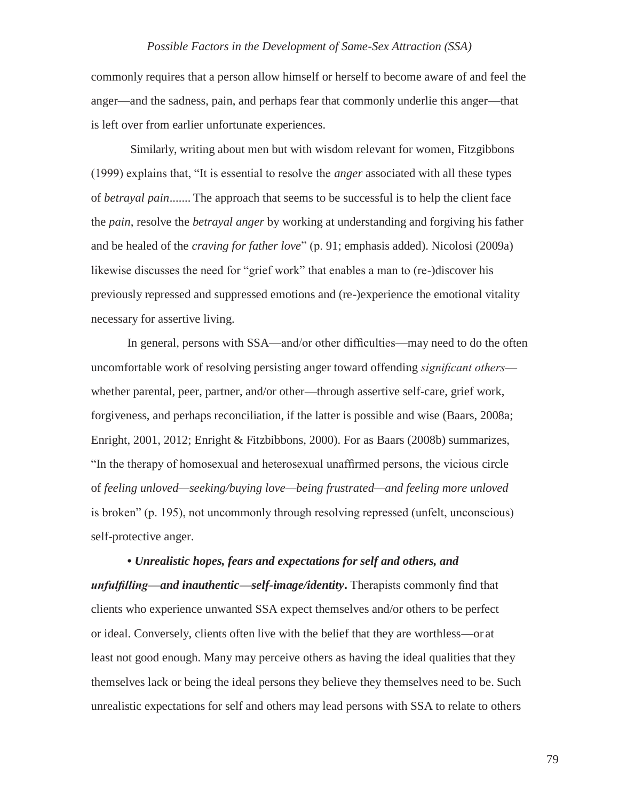commonly requires that a person allow himself or herself to become aware of and feel the anger—and the sadness, pain, and perhaps fear that commonly underlie this anger—that is left over from earlier unfortunate experiences.

Similarly, writing about men but with wisdom relevant for women, Fitzgibbons (1999) explains that, "It is essential to resolve the *anger* associated with all these types of *betrayal pain.......* The approach that seems to be successful is to help the client face the *pain*, resolve the *betrayal anger* by working at understanding and forgiving his father and be healed of the *craving for father love*" (p. 91; emphasis added). Nicolosi (2009a) likewise discusses the need for "grief work" that enables a man to (re-)discover his previously repressed and suppressed emotions and (re-)experience the emotional vitality necessary for assertive living.

In general, persons with SSA—and/or other difficulties—may need to do the often uncomfortable work of resolving persisting anger toward offending *significant others* whether parental, peer, partner, and/or other—through assertive self-care, grief work, forgiveness, and perhaps reconciliation, if the latter is possible and wise (Baars, 2008a; Enright, 2001, 2012; Enright & Fitzbibbons, 2000). For as Baars (2008b) summarizes, "In the therapy of homosexual and heterosexual unaffirmed persons, the vicious circle of *feeling unloved—seeking/buying love—being frustrated—and feeling more unloved*  is broken" (p. 195), not uncommonly through resolving repressed (unfelt, unconscious) self-protective anger.

**•** *Unrealistic hopes, fears and expectations for self and others, and unfulfilling—and inauthentic—self-image/identity***.** Therapists commonly find that clients who experience unwanted SSA expect themselves and/or others to be perfect or ideal. Conversely, clients often live with the belief that they are worthless—or at least not good enough. Many may perceive others as having the ideal qualities that they themselves lack or being the ideal persons they believe they themselves need to be. Such unrealistic expectations for self and others may lead persons with SSA to relate to others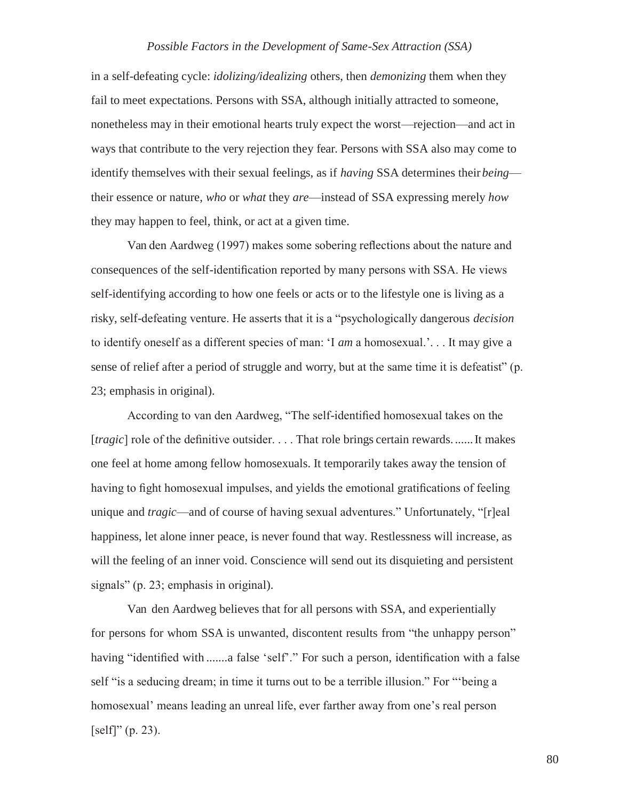in a self-defeating cycle: *idolizing/idealizing* others, then *demonizing* them when they fail to meet expectations. Persons with SSA, although initially attracted to someone, nonetheless may in their emotional hearts truly expect the worst—rejection—and act in ways that contribute to the very rejection they fear. Persons with SSA also may come to identify themselves with their sexual feelings, as if *having* SSA determines their *being* their essence or nature, *who* or *what* they *are*—instead of SSA expressing merely *how*  they may happen to feel, think, or act at a given time.

Van den Aardweg (1997) makes some sobering reflections about the nature and consequences of the self-identification reported by many persons with SSA. He views self-identifying according to how one feels or acts or to the lifestyle one is living as a risky, self-defeating venture. He asserts that it is a "psychologically dangerous *decision*  to identify oneself as a different species of man: 'I *am* a homosexual.'. . . It may give a sense of relief after a period of struggle and worry, but at the same time it is defeatist" (p. 23; emphasis in original).

According to van den Aardweg, "The self-identified homosexual takes on the [*tragic*] role of the definitive outsider. . . . That role brings certain rewards. ......It makes one feel at home among fellow homosexuals. It temporarily takes away the tension of having to fight homosexual impulses, and yields the emotional gratifications of feeling unique and *tragic*—and of course of having sexual adventures." Unfortunately, "[r]eal happiness, let alone inner peace, is never found that way. Restlessness will increase, as will the feeling of an inner void. Conscience will send out its disquieting and persistent signals" (p. 23; emphasis in original).

Van den Aardweg believes that for all persons with SSA, and experientially for persons for whom SSA is unwanted, discontent results from "the unhappy person" having "identified with .......a false 'self'." For such a person, identification with a false self "is a seducing dream; in time it turns out to be a terrible illusion." For "'being a homosexual' means leading an unreal life, ever farther away from one's real person  $[self]'(p. 23).$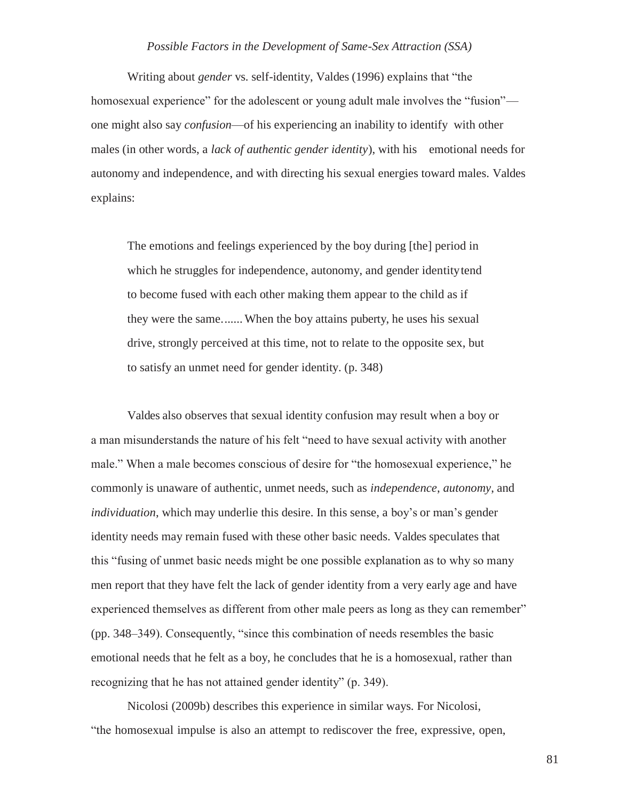Writing about *gender* vs. self-identity, Valdes (1996) explains that "the homosexual experience" for the adolescent or young adult male involves the "fusion" one might also say *confusion*—of his experiencing an inability to identify with other males (in other words, a *lack of authentic gender identity*), with his emotional needs for autonomy and independence, and with directing his sexual energies toward males. Valdes explains:

The emotions and feelings experienced by the boy during [the] period in which he struggles for independence, autonomy, and gender identitytend to become fused with each other making them appear to the child as if they were the same....... When the boy attains puberty, he uses his sexual drive, strongly perceived at this time, not to relate to the opposite sex, but to satisfy an unmet need for gender identity. (p. 348)

Valdes also observes that sexual identity confusion may result when a boy or a man misunderstands the nature of his felt "need to have sexual activity with another male." When a male becomes conscious of desire for "the homosexual experience," he commonly is unaware of authentic, unmet needs, such as *independence*, *autonomy*, and *individuation*, which may underlie this desire. In this sense, a boy's or man's gender identity needs may remain fused with these other basic needs. Valdes speculates that this "fusing of unmet basic needs might be one possible explanation as to why so many men report that they have felt the lack of gender identity from a very early age and have experienced themselves as different from other male peers as long as they can remember" (pp. 348–349). Consequently, "since this combination of needs resembles the basic emotional needs that he felt as a boy, he concludes that he is a homosexual, rather than recognizing that he has not attained gender identity" (p. 349).

Nicolosi (2009b) describes this experience in similar ways. For Nicolosi, "the homosexual impulse is also an attempt to rediscover the free, expressive, open,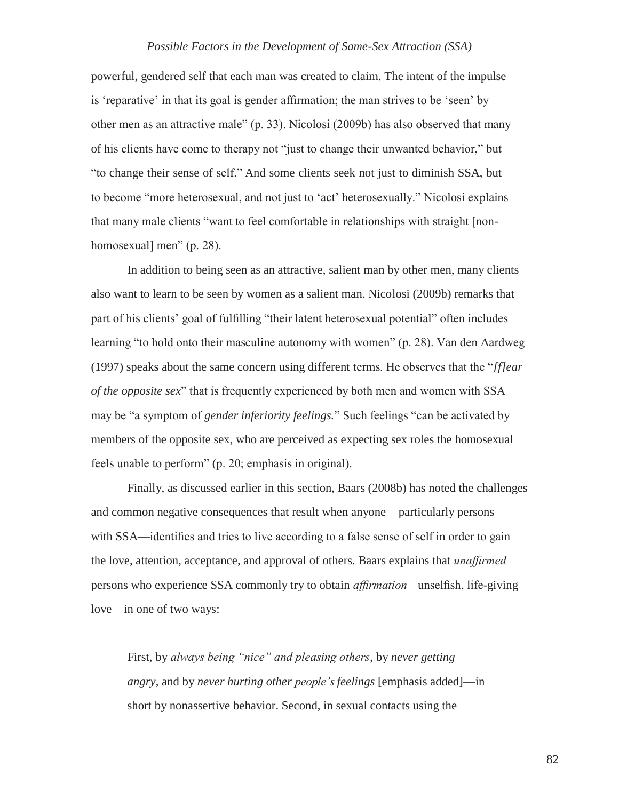powerful, gendered self that each man was created to claim. The intent of the impulse is 'reparative' in that its goal is gender affirmation; the man strives to be 'seen' by other men as an attractive male" (p. 33). Nicolosi (2009b) has also observed that many of his clients have come to therapy not "just to change their unwanted behavior," but "to change their sense of self." And some clients seek not just to diminish SSA, but to become "more heterosexual, and not just to 'act' heterosexually." Nicolosi explains that many male clients "want to feel comfortable in relationships with straight [nonhomosexual] men" (p. 28).

In addition to being seen as an attractive, salient man by other men, many clients also want to learn to be seen by women as a salient man. Nicolosi (2009b) remarks that part of his clients' goal of fulfilling "their latent heterosexual potential" often includes learning "to hold onto their masculine autonomy with women" (p. 28). Van den Aardweg (1997) speaks about the same concern using different terms. He observes that the "*[f]ear of the opposite sex*" that is frequently experienced by both men and women with SSA may be "a symptom of *gender inferiority feelings.*" Such feelings "can be activated by members of the opposite sex, who are perceived as expecting sex roles the homosexual feels unable to perform" (p. 20; emphasis in original).

Finally, as discussed earlier in this section, Baars (2008b) has noted the challenges and common negative consequences that result when anyone—particularly persons with SSA—identifies and tries to live according to a false sense of self in order to gain the love, attention, acceptance, and approval of others. Baars explains that *unaffirmed*  persons who experience SSA commonly try to obtain *affirmation—*unselfish, life-giving love—in one of two ways:

First, by *always being "nice" and pleasing others*, by *never getting angry*, and by *never hurting other people's feelings* [emphasis added]—in short by nonassertive behavior. Second, in sexual contacts using the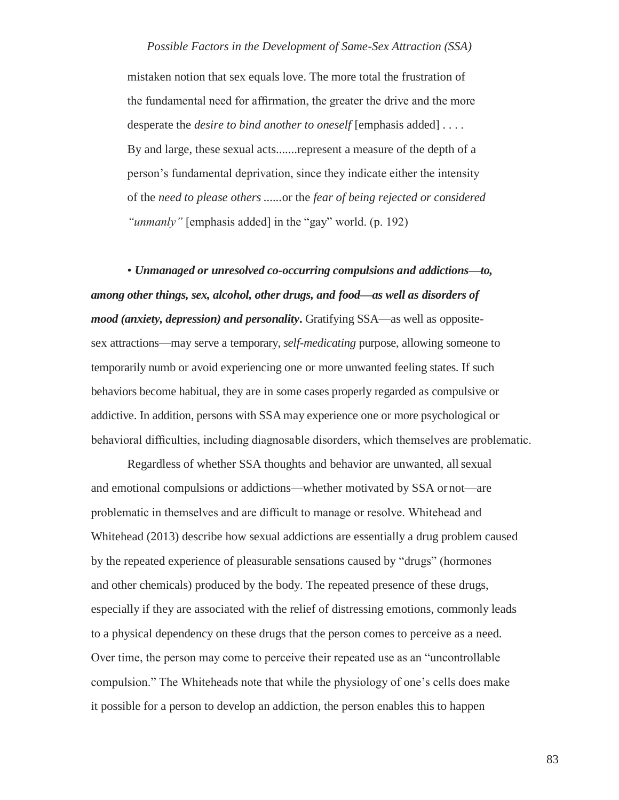mistaken notion that sex equals love. The more total the frustration of the fundamental need for affirmation, the greater the drive and the more desperate the *desire to bind another to oneself* [emphasis added] . . . . By and large, these sexual acts.......represent a measure of the depth of a person's fundamental deprivation, since they indicate either the intensity of the *need to please others ......*or the *fear of being rejected or considered "unmanly"* [emphasis added] in the "gay" world. (p. 192)

• *Unmanaged or unresolved co-occurring compulsions and addictions—to, among other things, sex, alcohol, other drugs, and food—as well as disorders of mood (anxiety, depression) and personality*. Gratifying SSA—as well as oppositesex attractions—may serve a temporary, *self-medicating* purpose, allowing someone to temporarily numb or avoid experiencing one or more unwanted feeling states. If such behaviors become habitual, they are in some cases properly regarded as compulsive or addictive. In addition, persons with SSAmay experience one or more psychological or behavioral difficulties, including diagnosable disorders, which themselves are problematic.

Regardless of whether SSA thoughts and behavior are unwanted, allsexual and emotional compulsions or addictions—whether motivated by SSA or not—are problematic in themselves and are difficult to manage or resolve. Whitehead and Whitehead (2013) describe how sexual addictions are essentially a drug problem caused by the repeated experience of pleasurable sensations caused by "drugs" (hormones and other chemicals) produced by the body. The repeated presence of these drugs, especially if they are associated with the relief of distressing emotions, commonly leads to a physical dependency on these drugs that the person comes to perceive as a need. Over time, the person may come to perceive their repeated use as an "uncontrollable compulsion." The Whiteheads note that while the physiology of one's cells does make it possible for a person to develop an addiction, the person enables this to happen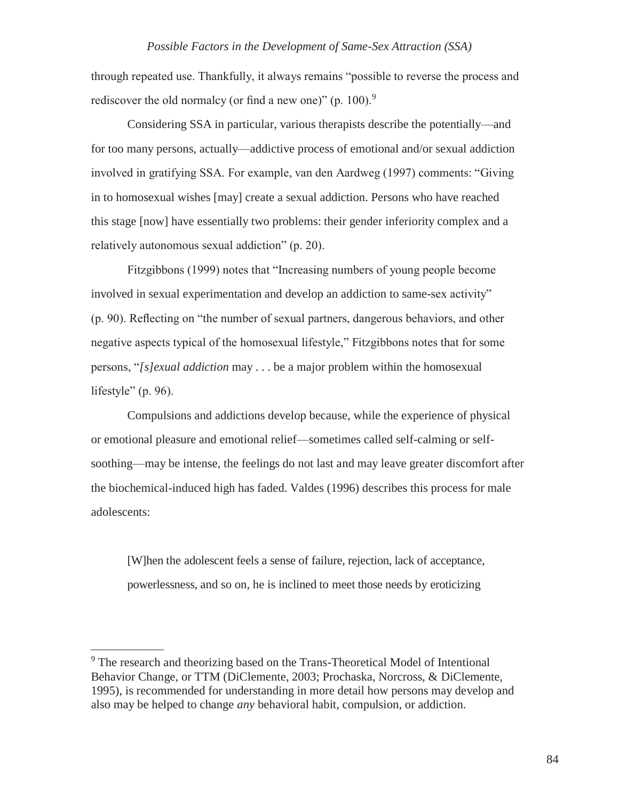through repeated use. Thankfully, it always remains "possible to reverse the process and rediscover the old normalcy (or find a new one)" (p. 100).<sup>9</sup>

Considering SSA in particular, various therapists describe the potentially—and for too many persons, actually—addictive process of emotional and/or sexual addiction involved in gratifying SSA. For example, van den Aardweg (1997) comments: "Giving in to homosexual wishes [may] create a sexual addiction. Persons who have reached this stage [now] have essentially two problems: their gender inferiority complex and a relatively autonomous sexual addiction" (p. 20).

Fitzgibbons (1999) notes that "Increasing numbers of young people become involved in sexual experimentation and develop an addiction to same-sex activity" (p. 90). Reflecting on "the number of sexual partners, dangerous behaviors, and other negative aspects typical of the homosexual lifestyle," Fitzgibbons notes that for some persons, "*[s]exual addiction* may . . . be a major problem within the homosexual lifestyle" (p. 96).

Compulsions and addictions develop because, while the experience of physical or emotional pleasure and emotional relief—sometimes called self-calming or selfsoothing—may be intense, the feelings do not last and may leave greater discomfort after the biochemical-induced high has faded. Valdes (1996) describes this process for male adolescents:

[W]hen the adolescent feels a sense of failure, rejection, lack of acceptance, powerlessness, and so on, he is inclined to meet those needs by eroticizing

<sup>&</sup>lt;sup>9</sup> The research and theorizing based on the Trans-Theoretical Model of Intentional Behavior Change, or TTM (DiClemente, 2003; Prochaska, Norcross, & DiClemente, 1995), is recommended for understanding in more detail how persons may develop and also may be helped to change *any* behavioral habit, compulsion, or addiction.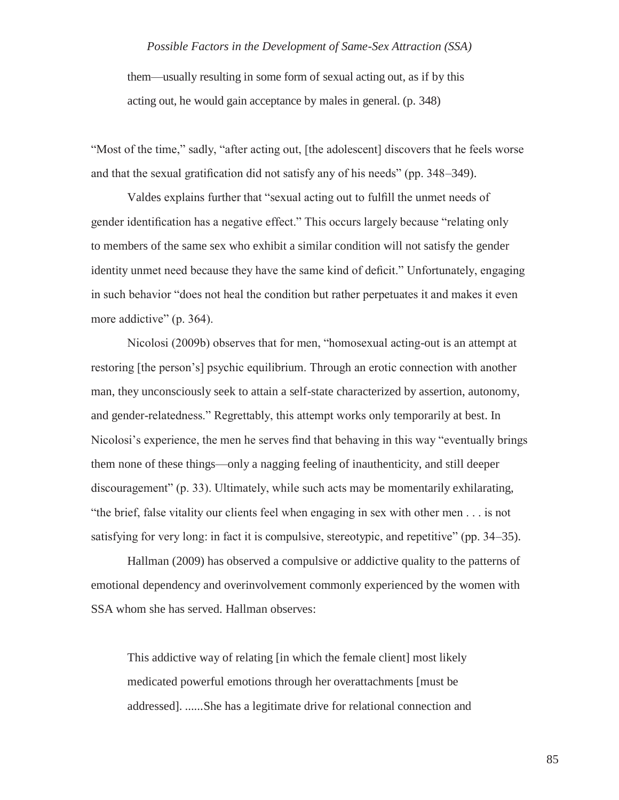them—usually resulting in some form of sexual acting out, as if by this acting out, he would gain acceptance by males in general. (p. 348)

"Most of the time," sadly, "after acting out, [the adolescent] discovers that he feels worse and that the sexual gratification did not satisfy any of his needs" (pp. 348–349).

Valdes explains further that "sexual acting out to fulfill the unmet needs of gender identification has a negative effect." This occurs largely because "relating only to members of the same sex who exhibit a similar condition will not satisfy the gender identity unmet need because they have the same kind of deficit." Unfortunately, engaging in such behavior "does not heal the condition but rather perpetuates it and makes it even more addictive" (p. 364).

Nicolosi (2009b) observes that for men, "homosexual acting-out is an attempt at restoring [the person's] psychic equilibrium. Through an erotic connection with another man, they unconsciously seek to attain a self-state characterized by assertion, autonomy, and gender-relatedness." Regrettably, this attempt works only temporarily at best. In Nicolosi's experience, the men he serves find that behaving in this way "eventually brings them none of these things—only a nagging feeling of inauthenticity, and still deeper discouragement" (p. 33). Ultimately, while such acts may be momentarily exhilarating, "the brief, false vitality our clients feel when engaging in sex with other men . . . is not satisfying for very long: in fact it is compulsive, stereotypic, and repetitive" (pp. 34–35).

Hallman (2009) has observed a compulsive or addictive quality to the patterns of emotional dependency and overinvolvement commonly experienced by the women with SSA whom she has served. Hallman observes:

This addictive way of relating [in which the female client] most likely medicated powerful emotions through her overattachments [must be addressed]. ......She has a legitimate drive for relational connection and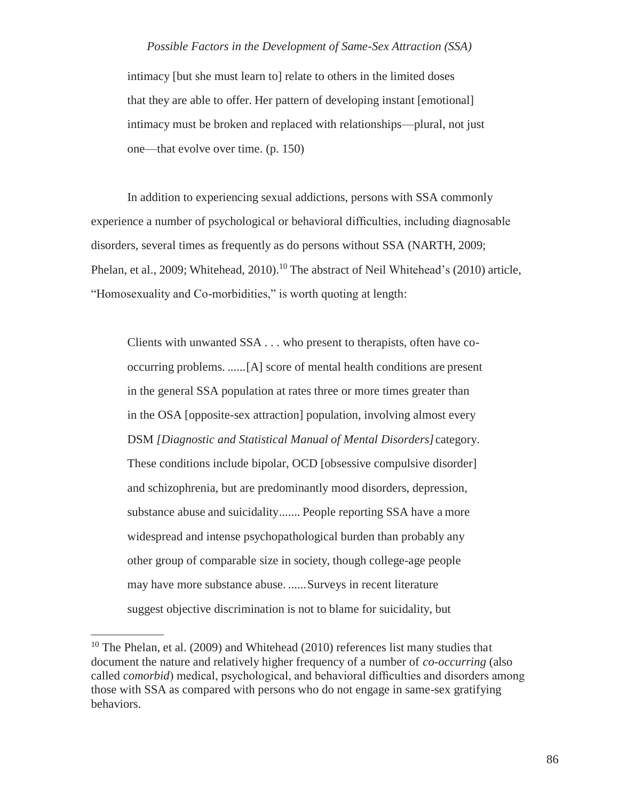intimacy [but she must learn to] relate to others in the limited doses that they are able to offer. Her pattern of developing instant [emotional] intimacy must be broken and replaced with relationships—plural, not just one—that evolve over time. (p. 150)

In addition to experiencing sexual addictions, persons with SSA commonly experience a number of psychological or behavioral difficulties, including diagnosable disorders, several times as frequently as do persons without SSA (NARTH, 2009; Phelan, et al., 2009; Whitehead, 2010).<sup>10</sup> The abstract of Neil Whitehead's (2010) article, "Homosexuality and Co-morbidities," is worth quoting at length:

Clients with unwanted SSA . . . who present to therapists, often have cooccurring problems. ......[A] score of mental health conditions are present in the general SSA population at rates three or more times greater than in the OSA [opposite-sex attraction] population, involving almost every DSM *[Diagnostic and Statistical Manual of Mental Disorders]*category. These conditions include bipolar, OCD [obsessive compulsive disorder] and schizophrenia, but are predominantly mood disorders, depression, substance abuse and suicidality....... People reporting SSA have a more widespread and intense psychopathological burden than probably any other group of comparable size in society, though college-age people may have more substance abuse. ......Surveys in recent literature suggest objective discrimination is not to blame for suicidality, but

 $10$  The Phelan, et al. (2009) and Whitehead (2010) references list many studies that document the nature and relatively higher frequency of a number of *co-occurring* (also called *comorbid*) medical, psychological, and behavioral difficulties and disorders among those with SSA as compared with persons who do not engage in same-sex gratifying behaviors.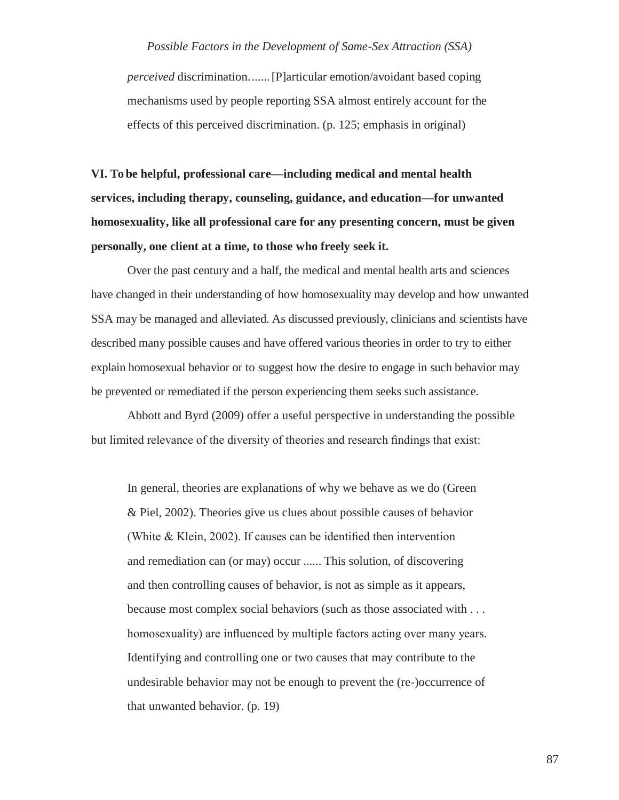*perceived* discrimination.......[P]articular emotion/avoidant based coping mechanisms used by people reporting SSA almost entirely account for the effects of this perceived discrimination. (p. 125; emphasis in original)

**VI. To be helpful, professional care—including medical and mental health services, including therapy, counseling, guidance, and education—for unwanted homosexuality, like all professional care for any presenting concern, must be given personally, one client at a time, to those who freely seek it.**

Over the past century and a half, the medical and mental health arts and sciences have changed in their understanding of how homosexuality may develop and how unwanted SSA may be managed and alleviated. As discussed previously, clinicians and scientists have described many possible causes and have offered various theories in order to try to either explain homosexual behavior or to suggest how the desire to engage in such behavior may be prevented or remediated if the person experiencing them seeks such assistance.

Abbott and Byrd (2009) offer a useful perspective in understanding the possible but limited relevance of the diversity of theories and research findings that exist:

In general, theories are explanations of why we behave as we do (Green & Piel, 2002). Theories give us clues about possible causes of behavior (White & Klein, 2002). If causes can be identified then intervention and remediation can (or may) occur ...... This solution, of discovering and then controlling causes of behavior, is not as simple as it appears, because most complex social behaviors (such as those associated with . . . homosexuality) are influenced by multiple factors acting over many years. Identifying and controlling one or two causes that may contribute to the undesirable behavior may not be enough to prevent the (re-)occurrence of that unwanted behavior. (p. 19)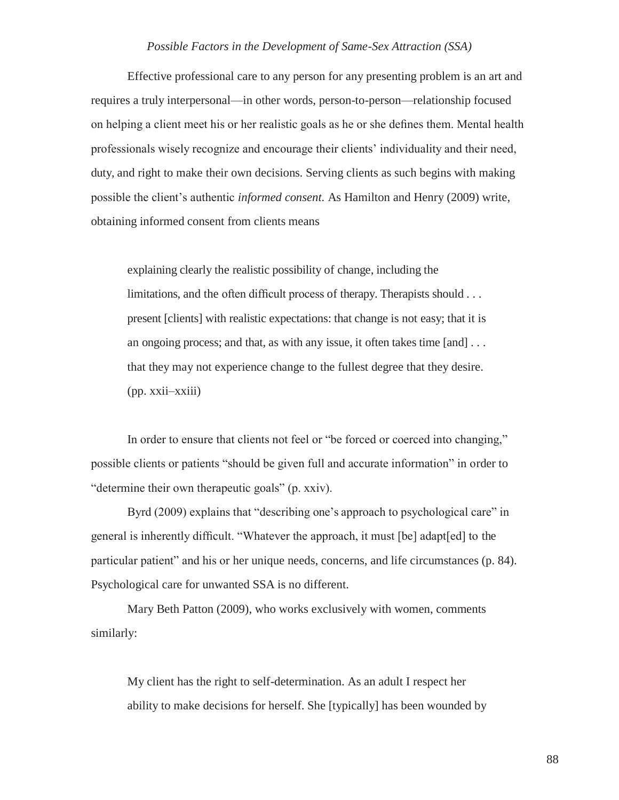Effective professional care to any person for any presenting problem is an art and requires a truly interpersonal—in other words, person-to-person—relationship focused on helping a client meet his or her realistic goals as he or she defines them. Mental health professionals wisely recognize and encourage their clients' individuality and their need, duty, and right to make their own decisions. Serving clients as such begins with making possible the client's authentic *informed consent.* As Hamilton and Henry (2009) write, obtaining informed consent from clients means

explaining clearly the realistic possibility of change, including the limitations, and the often difficult process of therapy. Therapists should . . . present [clients] with realistic expectations: that change is not easy; that it is an ongoing process; and that, as with any issue, it often takes time [and] . . . that they may not experience change to the fullest degree that they desire. (pp. xxii–xxiii)

In order to ensure that clients not feel or "be forced or coerced into changing," possible clients or patients "should be given full and accurate information" in order to "determine their own therapeutic goals" (p. xxiv).

Byrd (2009) explains that "describing one's approach to psychological care" in general is inherently difficult. "Whatever the approach, it must [be] adapt[ed] to the particular patient" and his or her unique needs, concerns, and life circumstances (p. 84). Psychological care for unwanted SSA is no different.

Mary Beth Patton (2009), who works exclusively with women, comments similarly:

My client has the right to self-determination. As an adult I respect her ability to make decisions for herself. She [typically] has been wounded by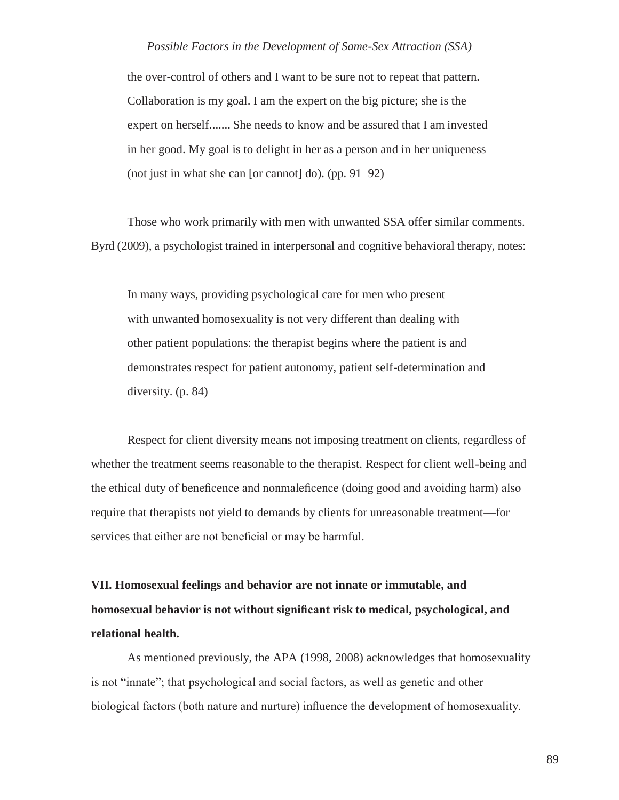the over-control of others and I want to be sure not to repeat that pattern. Collaboration is my goal. I am the expert on the big picture; she is the expert on herself....... She needs to know and be assured that I am invested in her good. My goal is to delight in her as a person and in her uniqueness (not just in what she can [or cannot] do). (pp. 91–92)

Those who work primarily with men with unwanted SSA offer similar comments. Byrd (2009), a psychologist trained in interpersonal and cognitive behavioral therapy, notes:

In many ways, providing psychological care for men who present with unwanted homosexuality is not very different than dealing with other patient populations: the therapist begins where the patient is and demonstrates respect for patient autonomy, patient self-determination and diversity. (p. 84)

Respect for client diversity means not imposing treatment on clients, regardless of whether the treatment seems reasonable to the therapist. Respect for client well-being and the ethical duty of beneficence and nonmaleficence (doing good and avoiding harm) also require that therapists not yield to demands by clients for unreasonable treatment—for services that either are not beneficial or may be harmful.

**VII. Homosexual feelings and behavior are not innate or immutable, and homosexual behavior is not without significant risk to medical, psychological, and relational health.**

As mentioned previously, the APA (1998, 2008) acknowledges that homosexuality is not "innate"; that psychological and social factors, as well as genetic and other biological factors (both nature and nurture) influence the development of homosexuality.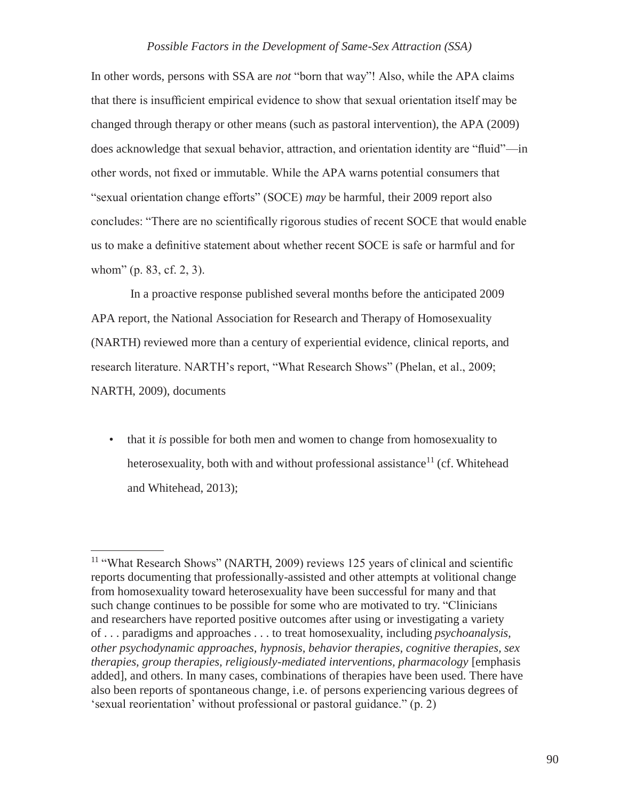In other words, persons with SSA are *not* "born that way"! Also, while the APA claims that there is insufficient empirical evidence to show that sexual orientation itself may be changed through therapy or other means (such as pastoral intervention), the APA (2009) does acknowledge that sexual behavior, attraction, and orientation identity are "fluid"—in other words, not fixed or immutable. While the APA warns potential consumers that "sexual orientation change efforts" (SOCE) *may* be harmful, their 2009 report also concludes: "There are no scientifically rigorous studies of recent SOCE that would enable us to make a definitive statement about whether recent SOCE is safe or harmful and for whom" (p. 83, cf. 2, 3).

In a proactive response published several months before the anticipated 2009 APA report, the National Association for Research and Therapy of Homosexuality (NARTH) reviewed more than a century of experiential evidence, clinical reports, and research literature. NARTH's report, "What Research Shows" (Phelan, et al., 2009; NARTH, 2009), documents

• that it *is* possible for both men and women to change from homosexuality to heterosexuality, both with and without professional assistance<sup>11</sup> (cf. Whitehead and Whitehead, 2013);

<sup>&</sup>lt;sup>11</sup> "What Research Shows" (NARTH, 2009) reviews 125 years of clinical and scientific reports documenting that professionally-assisted and other attempts at volitional change from homosexuality toward heterosexuality have been successful for many and that such change continues to be possible for some who are motivated to try. "Clinicians and researchers have reported positive outcomes after using or investigating a variety of . . . paradigms and approaches . . . to treat homosexuality, including *psychoanalysis, other psychodynamic approaches, hypnosis, behavior therapies, cognitive therapies, sex therapies, group therapies, religiously-mediated interventions, pharmacology* [emphasis added], and others. In many cases, combinations of therapies have been used. There have also been reports of spontaneous change, i.e. of persons experiencing various degrees of 'sexual reorientation' without professional or pastoral guidance." (p. 2)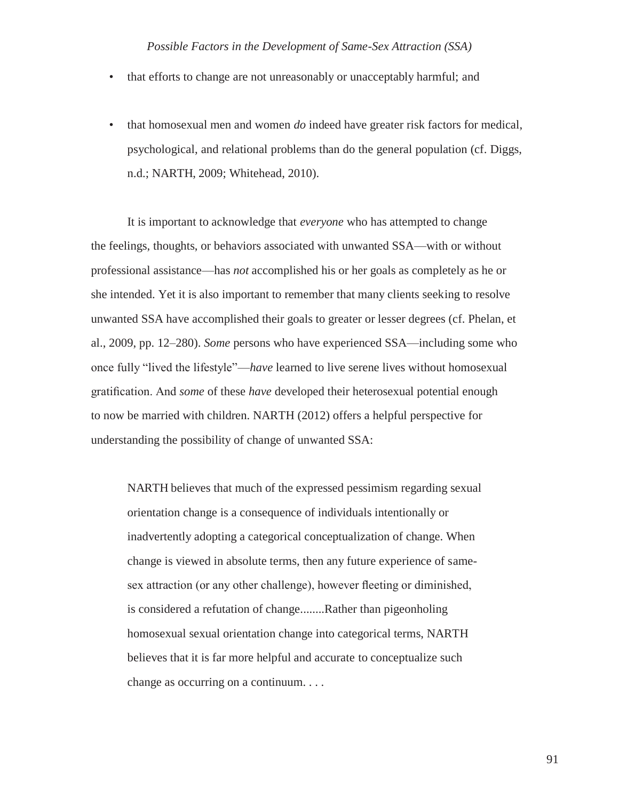- that efforts to change are not unreasonably or unacceptably harmful; and
- that homosexual men and women *do* indeed have greater risk factors for medical, psychological, and relational problems than do the general population (cf. Diggs, n.d.; NARTH, 2009; Whitehead, 2010).

It is important to acknowledge that *everyone* who has attempted to change the feelings, thoughts, or behaviors associated with unwanted SSA—with or without professional assistance—has *not* accomplished his or her goals as completely as he or she intended. Yet it is also important to remember that many clients seeking to resolve unwanted SSA have accomplished their goals to greater or lesser degrees (cf. Phelan, et al., 2009, pp. 12–280). *Some* persons who have experienced SSA—including some who once fully "lived the lifestyle"—*have* learned to live serene lives without homosexual gratification. And *some* of these *have* developed their heterosexual potential enough to now be married with children. NARTH (2012) offers a helpful perspective for understanding the possibility of change of unwanted SSA:

NARTH believes that much of the expressed pessimism regarding sexual orientation change is a consequence of individuals intentionally or inadvertently adopting a categorical conceptualization of change. When change is viewed in absolute terms, then any future experience of samesex attraction (or any other challenge), however fleeting or diminished, is considered a refutation of change........Rather than pigeonholing homosexual sexual orientation change into categorical terms, NARTH believes that it is far more helpful and accurate to conceptualize such change as occurring on a continuum. . . .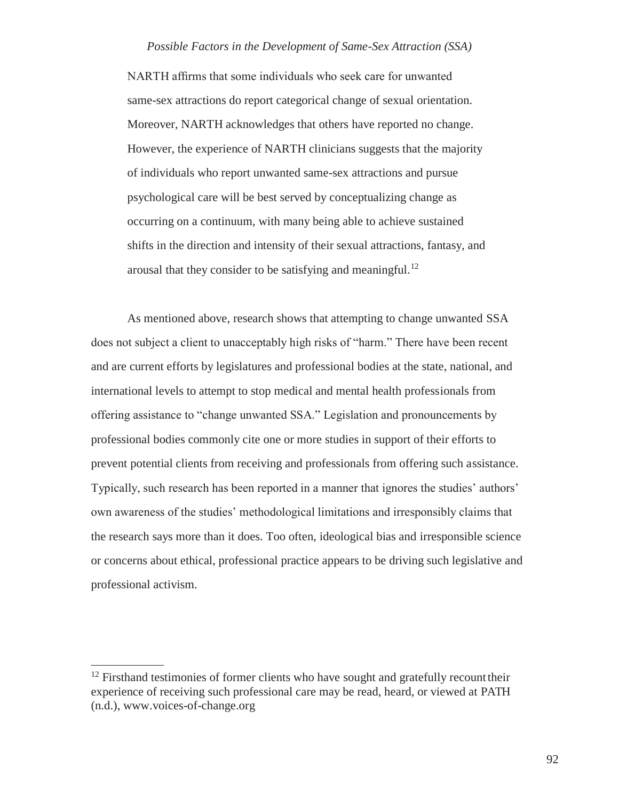NARTH affirms that some individuals who seek care for unwanted same-sex attractions do report categorical change of sexual orientation. Moreover, NARTH acknowledges that others have reported no change. However, the experience of NARTH clinicians suggests that the majority of individuals who report unwanted same-sex attractions and pursue psychological care will be best served by conceptualizing change as occurring on a continuum, with many being able to achieve sustained shifts in the direction and intensity of their sexual attractions, fantasy, and arousal that they consider to be satisfying and meaningful.<sup>12</sup>

As mentioned above, research shows that attempting to change unwanted SSA does not subject a client to unacceptably high risks of "harm." There have been recent and are current efforts by legislatures and professional bodies at the state, national, and international levels to attempt to stop medical and mental health professionals from offering assistance to "change unwanted SSA." Legislation and pronouncements by professional bodies commonly cite one or more studies in support of their efforts to prevent potential clients from receiving and professionals from offering such assistance. Typically, such research has been reported in a manner that ignores the studies' authors' own awareness of the studies' methodological limitations and irresponsibly claims that the research says more than it does. Too often, ideological bias and irresponsible science or concerns about ethical, professional practice appears to be driving such legislative and professional activism.

 $12$  Firsthand testimonies of former clients who have sought and gratefully recount their experience of receiving such professional care may be read, heard, or viewed at PATH (n.d.), [www.voices-of-change.org](http://www.voices-of-change.org/)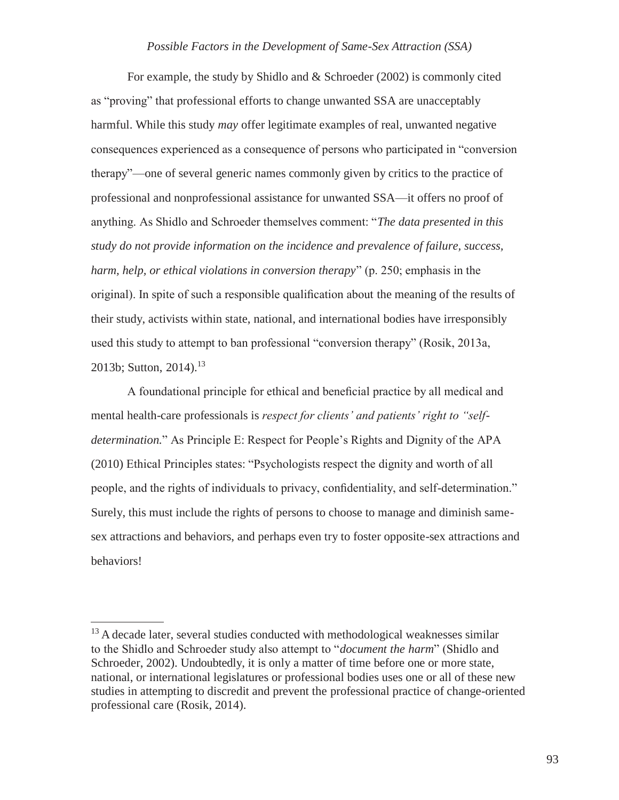For example, the study by Shidlo and & Schroeder (2002) is commonly cited as "proving" that professional efforts to change unwanted SSA are unacceptably harmful. While this study *may* offer legitimate examples of real, unwanted negative consequences experienced as a consequence of persons who participated in "conversion therapy"—one of several generic names commonly given by critics to the practice of professional and nonprofessional assistance for unwanted SSA—it offers no proof of anything. As Shidlo and Schroeder themselves comment: "*The data presented in this study do not provide information on the incidence and prevalence of failure, success, harm, help, or ethical violations in conversion therapy*" (p. 250; emphasis in the original). In spite of such a responsible qualification about the meaning of the results of their study, activists within state, national, and international bodies have irresponsibly used this study to attempt to ban professional "conversion therapy" (Rosik, 2013a, 2013b; Sutton, 2014).<sup>13</sup>

A foundational principle for ethical and beneficial practice by all medical and mental health-care professionals is *respect for clients' and patients' right to "selfdetermination.*" As Principle E: Respect for People's Rights and Dignity of the APA (2010) Ethical Principles states: "Psychologists respect the dignity and worth of all people, and the rights of individuals to privacy, confidentiality, and self-determination." Surely, this must include the rights of persons to choose to manage and diminish samesex attractions and behaviors, and perhaps even try to foster opposite-sex attractions and behaviors!

<sup>&</sup>lt;sup>13</sup> A decade later, several studies conducted with methodological weaknesses similar to the Shidlo and Schroeder study also attempt to "*document the harm*" (Shidlo and Schroeder, 2002). Undoubtedly, it is only a matter of time before one or more state, national, or international legislatures or professional bodies uses one or all of these new studies in attempting to discredit and prevent the professional practice of change-oriented professional care (Rosik, 2014).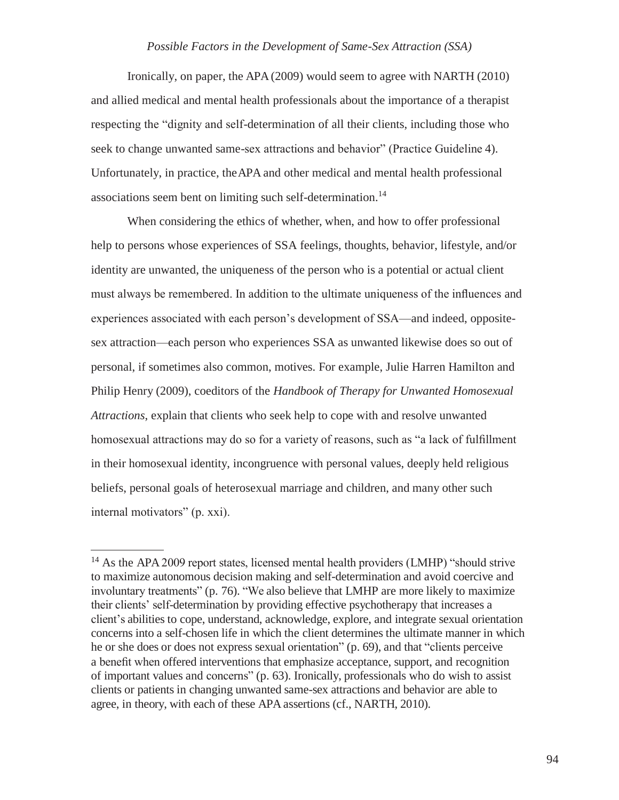Ironically, on paper, the APA (2009) would seem to agree with NARTH (2010) and allied medical and mental health professionals about the importance of a therapist respecting the "dignity and self-determination of all their clients, including those who seek to change unwanted same-sex attractions and behavior" (Practice Guideline 4). Unfortunately, in practice, theAPA and other medical and mental health professional associations seem bent on limiting such self-determination.<sup>14</sup>

When considering the ethics of whether, when, and how to offer professional help to persons whose experiences of SSA feelings, thoughts, behavior, lifestyle, and/or identity are unwanted, the uniqueness of the person who is a potential or actual client must always be remembered. In addition to the ultimate uniqueness of the influences and experiences associated with each person's development of SSA—and indeed, oppositesex attraction—each person who experiences SSA as unwanted likewise does so out of personal, if sometimes also common, motives. For example, Julie Harren Hamilton and Philip Henry (2009), coeditors of the *Handbook of Therapy for Unwanted Homosexual Attractions*, explain that clients who seek help to cope with and resolve unwanted homosexual attractions may do so for a variety of reasons, such as "a lack of fulfillment in their homosexual identity, incongruence with personal values, deeply held religious beliefs, personal goals of heterosexual marriage and children, and many other such internal motivators" (p. xxi).

<sup>&</sup>lt;sup>14</sup> As the APA 2009 report states, licensed mental health providers (LMHP) "should strive to maximize autonomous decision making and self-determination and avoid coercive and involuntary treatments" (p. 76). "We also believe that LMHP are more likely to maximize their clients' self-determination by providing effective psychotherapy that increases a client's abilities to cope, understand, acknowledge, explore, and integrate sexual orientation concerns into a self-chosen life in which the client determines the ultimate manner in which he or she does or does not express sexual orientation" (p. 69), and that "clients perceive a benefit when offered interventions that emphasize acceptance, support, and recognition of important values and concerns" (p. 63). Ironically, professionals who do wish to assist clients or patients in changing unwanted same-sex attractions and behavior are able to agree, in theory, with each of these APA assertions (cf., NARTH, 2010).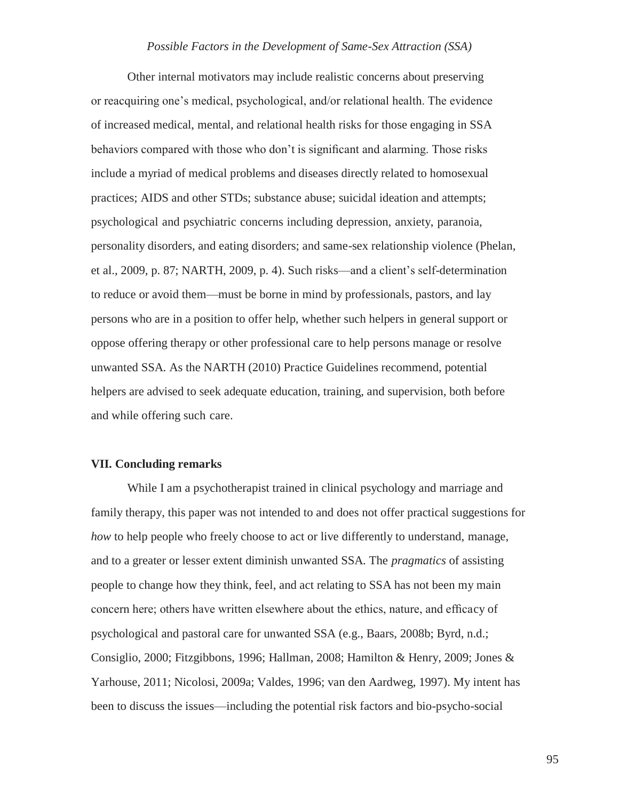Other internal motivators may include realistic concerns about preserving or reacquiring one's medical, psychological, and/or relational health. The evidence of increased medical, mental, and relational health risks for those engaging in SSA behaviors compared with those who don't is significant and alarming. Those risks include a myriad of medical problems and diseases directly related to homosexual practices; AIDS and other STDs; substance abuse; suicidal ideation and attempts; psychological and psychiatric concerns including depression, anxiety, paranoia, personality disorders, and eating disorders; and same-sex relationship violence (Phelan, et al., 2009, p. 87; NARTH, 2009, p. 4). Such risks—and a client's self-determination to reduce or avoid them—must be borne in mind by professionals, pastors, and lay persons who are in a position to offer help, whether such helpers in general support or oppose offering therapy or other professional care to help persons manage or resolve unwanted SSA. As the NARTH (2010) Practice Guidelines recommend, potential helpers are advised to seek adequate education, training, and supervision, both before and while offering such care.

#### **VII. Concluding remarks**

While I am a psychotherapist trained in clinical psychology and marriage and family therapy, this paper was not intended to and does not offer practical suggestions for *how* to help people who freely choose to act or live differently to understand, manage, and to a greater or lesser extent diminish unwanted SSA. The *pragmatics* of assisting people to change how they think, feel, and act relating to SSA has not been my main concern here; others have written elsewhere about the ethics, nature, and efficacy of psychological and pastoral care for unwanted SSA (e.g., Baars, 2008b; Byrd, n.d.; Consiglio, 2000; Fitzgibbons, 1996; Hallman, 2008; Hamilton & Henry, 2009; Jones & Yarhouse, 2011; Nicolosi, 2009a; Valdes, 1996; van den Aardweg, 1997). My intent has been to discuss the issues—including the potential risk factors and bio-psycho-social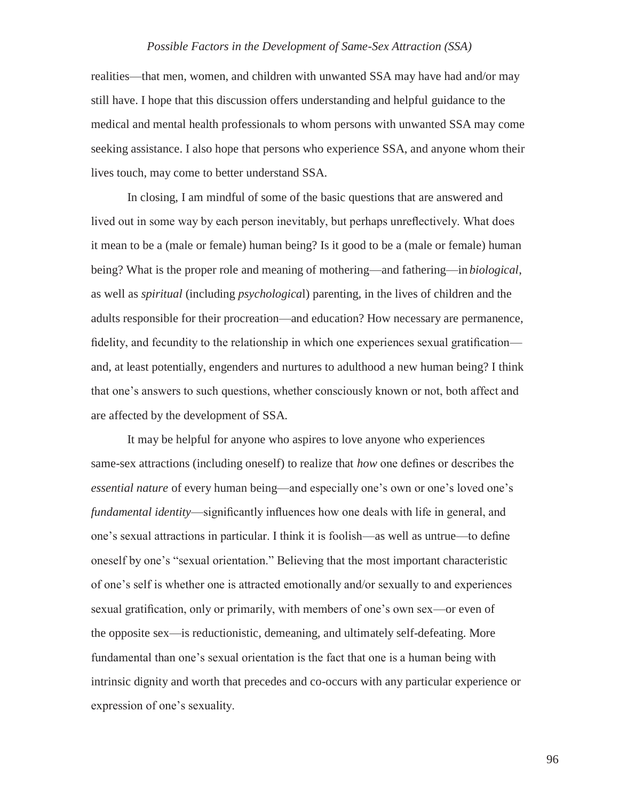realities—that men, women, and children with unwanted SSA may have had and/or may still have. I hope that this discussion offers understanding and helpful guidance to the medical and mental health professionals to whom persons with unwanted SSA may come seeking assistance. I also hope that persons who experience SSA, and anyone whom their lives touch, may come to better understand SSA.

In closing, I am mindful of some of the basic questions that are answered and lived out in some way by each person inevitably, but perhaps unreflectively. What does it mean to be a (male or female) human being? Is it good to be a (male or female) human being? What is the proper role and meaning of mothering—and fathering—in *biological*, as well as *spiritual* (including *psychologica*l) parenting, in the lives of children and the adults responsible for their procreation—and education? How necessary are permanence, fidelity, and fecundity to the relationship in which one experiences sexual gratification and, at least potentially, engenders and nurtures to adulthood a new human being? I think that one's answers to such questions, whether consciously known or not, both affect and are affected by the development of SSA.

It may be helpful for anyone who aspires to love anyone who experiences same-sex attractions (including oneself) to realize that *how* one defines or describes the *essential nature* of every human being—and especially one's own or one's loved one's *fundamental identity*—significantly influences how one deals with life in general, and one's sexual attractions in particular. I think it is foolish—as well as untrue—to define oneself by one's "sexual orientation." Believing that the most important characteristic of one's self is whether one is attracted emotionally and/or sexually to and experiences sexual gratification, only or primarily, with members of one's own sex—or even of the opposite sex—is reductionistic, demeaning, and ultimately self-defeating. More fundamental than one's sexual orientation is the fact that one is a human being with intrinsic dignity and worth that precedes and co-occurs with any particular experience or expression of one's sexuality.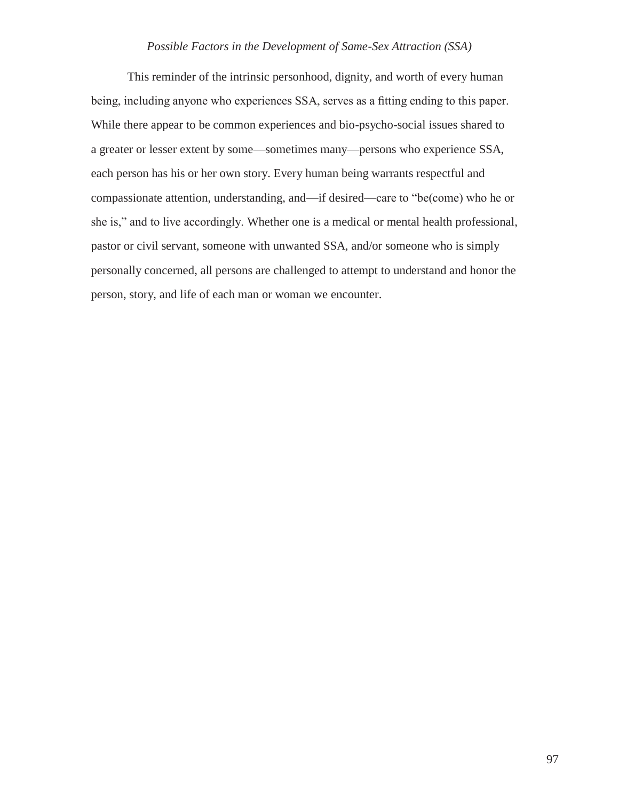This reminder of the intrinsic personhood, dignity, and worth of every human being, including anyone who experiences SSA, serves as a fitting ending to this paper. While there appear to be common experiences and bio-psycho-social issues shared to a greater or lesser extent by some—sometimes many—persons who experience SSA, each person has his or her own story. Every human being warrants respectful and compassionate attention, understanding, and—if desired—care to "be(come) who he or she is," and to live accordingly. Whether one is a medical or mental health professional, pastor or civil servant, someone with unwanted SSA, and/or someone who is simply personally concerned, all persons are challenged to attempt to understand and honor the person, story, and life of each man or woman we encounter.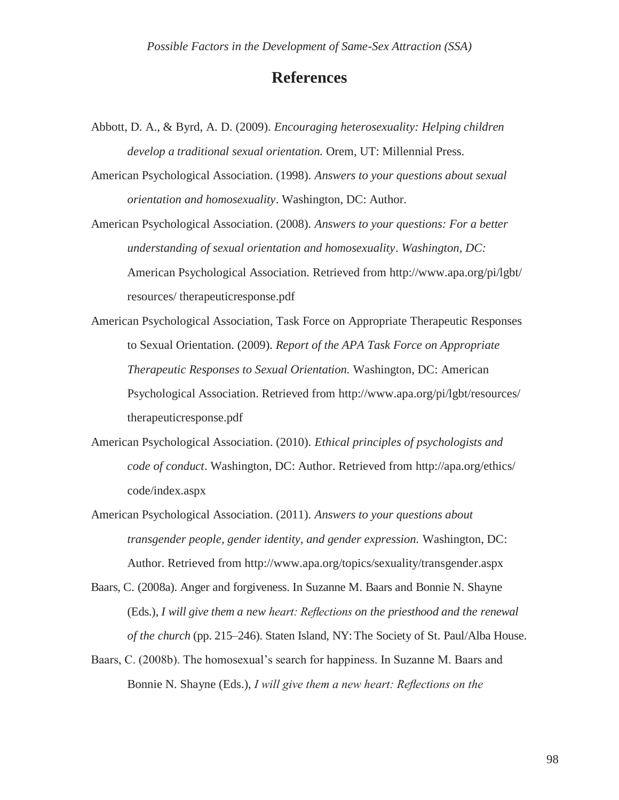### **References**

- Abbott, D. A., & Byrd, A. D. (2009). *Encouraging heterosexuality: Helping children develop a traditional sexual orientation.* Orem, UT: Millennial Press.
- American Psychological Association. (1998). *Answers to your questions about sexual orientation and homosexuality*. Washington, DC: Author.

American Psychological Association. (2008). *Answers to your questions: For a better understanding of sexual orientation and homosexuality*. *Washington, DC:*  American Psychological Association*.* Retrieved from<http://www.apa.org/pi/lgbt/> resources/ therapeuticresponse.pdf

American Psychological Association, Task Force on Appropriate Therapeutic Responses to Sexual Orientation. (2009). *Report of the APA Task Force on Appropriate Therapeutic Responses to Sexual Orientation.* Washington, DC: American Psychological Association. Retrieved from<http://www.apa.org/pi/lgbt/resources/> therapeuticresponse.pdf

- American Psychological Association. (2010). *Ethical principles of psychologists and code of conduct*. Washington, DC: Author. Retrieved from<http://apa.org/ethics/> code/index.aspx
- American Psychological Association. (2011). *Answers to your questions about transgender people, gender identity, and gender expression.* Washington, DC: Author. Retrieved from<http://www.apa.org/topics/sexuality/transgender.aspx>
- Baars, C. (2008a). Anger and forgiveness. In Suzanne M. Baars and Bonnie N. Shayne (Eds.), *I will give them a new heart: Reflections on the priesthood and the renewal of the church* (pp. 215–246). Staten Island, NY: The Society of St. Paul/Alba House.
- Baars, C. (2008b). The homosexual's search for happiness. In Suzanne M. Baars and Bonnie N. Shayne (Eds.), *I will give them a new heart: Reflections on the*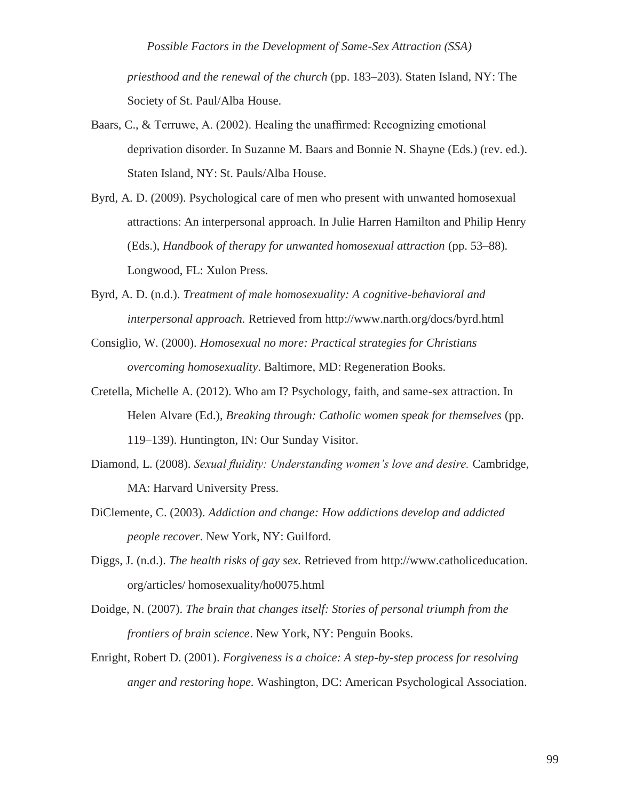*priesthood and the renewal of the church* (pp. 183–203). Staten Island, NY: The Society of St. Paul/Alba House.

- Baars, C., & Terruwe, A. (2002). Healing the unaffirmed: Recognizing emotional deprivation disorder. In Suzanne M. Baars and Bonnie N. Shayne (Eds.) (rev. ed.). Staten Island, NY: St. Pauls/Alba House.
- Byrd, A. D. (2009). Psychological care of men who present with unwanted homosexual attractions: An interpersonal approach. In Julie Harren Hamilton and Philip Henry (Eds.), *Handbook of therapy for unwanted homosexual attraction* (pp. 53–88)*.* Longwood, FL: Xulon Press.
- Byrd, A. D. (n.d.). *Treatment of male homosexuality: A cognitive-behavioral and interpersonal approach.* Retrieved from<http://www.narth.org/docs/byrd.html>
- Consiglio, W. (2000). *Homosexual no more: Practical strategies for Christians overcoming homosexuality*. Baltimore, MD: Regeneration Books.
- Cretella, Michelle A. (2012). Who am I? Psychology, faith, and same-sex attraction. In Helen Alvare (Ed.), *Breaking through: Catholic women speak for themselves* (pp. 119–139). Huntington, IN: Our Sunday Visitor.
- Diamond, L. (2008). *Sexual fluidity: Understanding women's love and desire.* Cambridge, MA: Harvard University Press.
- DiClemente, C. (2003). *Addiction and change: How addictions develop and addicted people recover*. New York, NY: Guilford.
- Diggs, J. (n.d.). *The health risks of gay sex.* Retrieved from http://www.catholiceducation. org/articles/ homosexuality/ho0075.html
- Doidge, N. (2007). *The brain that changes itself: Stories of personal triumph from the frontiers of brain science*. New York, NY: Penguin Books.
- Enright, Robert D. (2001). *Forgiveness is a choice: A step-by-step process for resolving anger and restoring hope.* Washington, DC: American Psychological Association.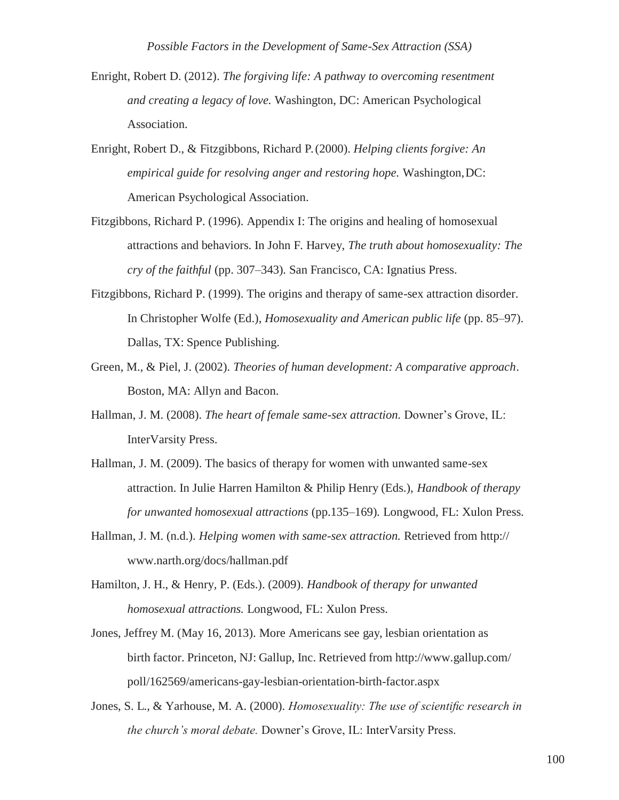- Enright, Robert D. (2012). *The forgiving life: A pathway to overcoming resentment and creating a legacy of love.* Washington, DC: American Psychological Association.
- Enright, Robert D., & Fitzgibbons, Richard P. (2000). *Helping clients forgive: An empirical guide for resolving anger and restoring hope.* Washington,DC: American Psychological Association.
- Fitzgibbons, Richard P. (1996). Appendix I: The origins and healing of homosexual attractions and behaviors. In John F. Harvey, *The truth about homosexuality: The cry of the faithful* (pp. 307–343)*.* San Francisco, CA: Ignatius Press.
- Fitzgibbons, Richard P. (1999). The origins and therapy of same-sex attraction disorder. In Christopher Wolfe (Ed.), *Homosexuality and American public life* (pp. 85–97). Dallas, TX: Spence Publishing.
- Green, M., & Piel, J. (2002). *Theories of human development: A comparative approach*. Boston, MA: Allyn and Bacon.
- Hallman, J. M. (2008). *The heart of female same-sex attraction.* Downer's Grove, IL: InterVarsity Press.
- Hallman, J. M. (2009). The basics of therapy for women with unwanted same-sex attraction. In Julie Harren Hamilton & Philip Henry (Eds.), *Handbook of therapy for unwanted homosexual attractions* (pp.135–169)*.* Longwood, FL: Xulon Press.
- Hallman, J. M. (n.d.). *Helping women with same-sex attraction.* Retrieved from http:// [www.narth.org/docs/hallman.pdf](http://www.narth.org/docs/hallman.pdf)
- Hamilton, J. H., & Henry, P. (Eds.). (2009). *Handbook of therapy for unwanted homosexual attractions.* Longwood, FL: Xulon Press.
- Jones, Jeffrey M. (May 16, 2013). More Americans see gay, lesbian orientation as birth factor. Princeton, NJ: Gallup, Inc. Retrieved from <http://www.gallup.com/> poll/162569/americans-gay-lesbian-orientation-birth-factor.aspx
- Jones, S. L., & Yarhouse, M. A. (2000). *Homosexuality: The use of scientific research in the church's moral debate.* Downer's Grove, IL: InterVarsity Press.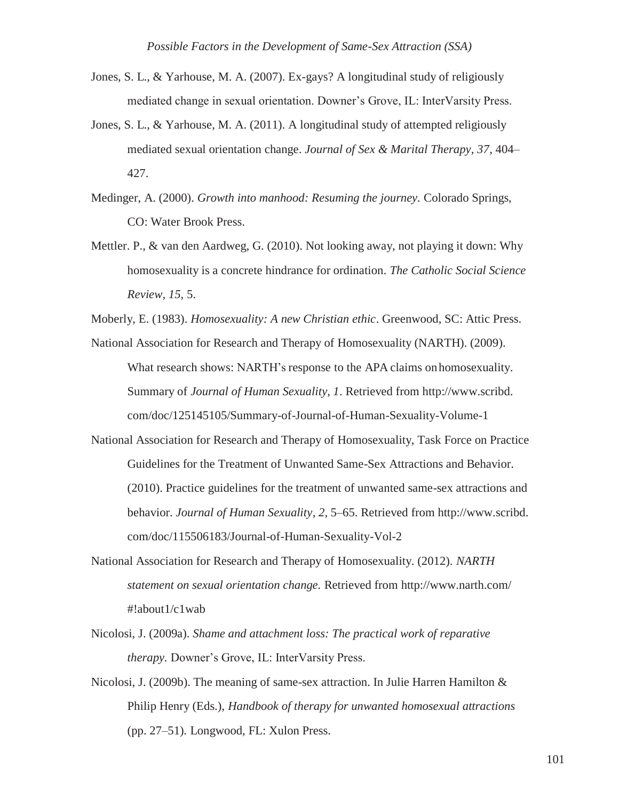- Jones, S. L., & Yarhouse, M. A. (2007). Ex-gays? A longitudinal study of religiously mediated change in sexual orientation. Downer's Grove, IL: InterVarsity Press.
- Jones, S. L., & Yarhouse, M. A. (2011). A longitudinal study of attempted religiously mediated sexual orientation change. *Journal of Sex & Marital Therapy, 37*, 404– 427.
- Medinger, A. (2000). *Growth into manhood: Resuming the journey.* Colorado Springs, CO: Water Brook Press.
- Mettler. P., & van den Aardweg, G. (2010). Not looking away, not playing it down: Why homosexuality is a concrete hindrance for ordination. *The Catholic Social Science Review, 15*, 5.

- National Association for Research and Therapy of Homosexuality (NARTH). (2009). What research shows: NARTH's response to the APA claims onhomosexuality. Summary of *Journal of Human Sexuality, 1*. Retrieved from http://www.scribd. com/doc/125145105/Summary-of-Journal-of-Human-Sexuality-Volume-1
- National Association for Research and Therapy of Homosexuality, Task Force on Practice Guidelines for the Treatment of Unwanted Same-Sex Attractions and Behavior. (2010). Practice guidelines for the treatment of unwanted same-sex attractions and behavior. *Journal of Human Sexuality*, *2*, 5–65. Retrieved from http://www.scribd. com/doc/115506183/Journal-of-Human-Sexuality-Vol-2
- National Association for Research and Therapy of Homosexuality. (2012). *NARTH statement on sexual orientation change.* Retrieved from<http://www.narth.com/> #!about1/c1wab
- Nicolosi, J. (2009a). *Shame and attachment loss: The practical work of reparative therapy.* Downer's Grove, IL: InterVarsity Press.
- Nicolosi, J. (2009b). The meaning of same-sex attraction. In Julie Harren Hamilton & Philip Henry (Eds.), *Handbook of therapy for unwanted homosexual attractions*  (pp. 27–51)*.* Longwood, FL: Xulon Press.

Moberly, E. (1983). *Homosexuality: A new Christian ethic*. Greenwood, SC: Attic Press.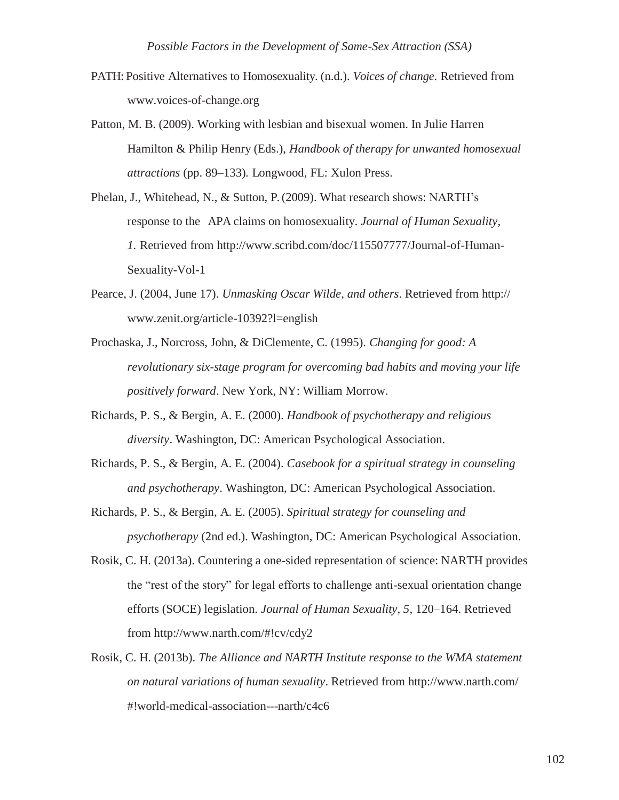- PATH: Positive Alternatives to Homosexuality. (n.d.). *Voices of change.* Retrieved from [www.voices-of-change.org](http://www.voices-of-change.org/)
- Patton, M. B. (2009). Working with lesbian and bisexual women. In Julie Harren Hamilton & Philip Henry (Eds.), *Handbook of therapy for unwanted homosexual attractions* (pp. 89–133)*.* Longwood, FL: Xulon Press.
- Phelan, J., Whitehead, N., & Sutton, P. (2009). What research shows: NARTH's response to the APA claims on homosexuality. *Journal of Human Sexuality, 1.* Retrieved from<http://www.scribd.com/doc/115507777/Journal-of-Human->Sexuality-Vol-1
- Pearce, J. (2004, June 17). *Unmasking Oscar Wilde, and others*. Retrieved from http:// [www.zenit.org/article-10392?l=english](http://www.zenit.org/article-10392?l=english)
- Prochaska, J., Norcross, John, & DiClemente, C. (1995). *Changing for good: A revolutionary six-stage program for overcoming bad habits and moving your life positively forward*. New York, NY: William Morrow.
- Richards, P. S., & Bergin, A. E. (2000). *Handbook of psychotherapy and religious diversity*. Washington, DC: American Psychological Association.
- Richards, P. S., & Bergin, A. E. (2004). *Casebook for a spiritual strategy in counseling and psychotherapy*. Washington, DC: American Psychological Association.
- Richards, P. S., & Bergin, A. E. (2005). *Spiritual strategy for counseling and psychotherapy* (2nd ed.). Washington, DC: American Psychological Association.
- Rosik, C. H. (2013a). Countering a one-sided representation of science: NARTH provides the "rest of the story" for legal efforts to challenge anti-sexual orientation change efforts (SOCE) legislation. *Journal of Human Sexuality, 5*, 120–164. Retrieved from [http://www.narth.com/#!cv/cdy2](http://www.narth.com/%23!cv/cdy2)
- Rosik, C. H. (2013b). *The Alliance and NARTH Institute response to the WMA statement on natural variations of human sexuality*. Retrieved from<http://www.narth.com/> #!world-medical-association---narth/c4c6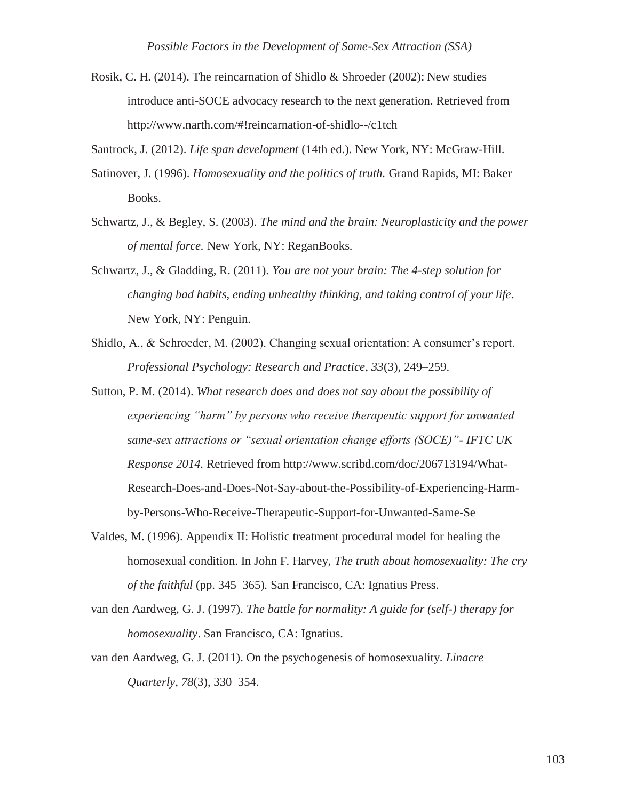Rosik, C. H. (2014). The reincarnation of Shidlo & Shroeder (2002): New studies introduce anti-SOCE advocacy research to the next generation. Retrieved from [http://www.narth.com/#!reincarnation-of-shidlo--/c1tch](http://www.narth.com/%23!reincarnation-of-shidlo--/c1tch)

Santrock, J. (2012). *Life span development* (14th ed.). New York, NY: McGraw-Hill.

- Satinover, J. (1996). *Homosexuality and the politics of truth.* Grand Rapids, MI: Baker Books.
- Schwartz, J., & Begley, S. (2003). *The mind and the brain: Neuroplasticity and the power of mental force.* New York, NY: ReganBooks.
- Schwartz, J., & Gladding, R. (2011). *You are not your brain: The 4-step solution for changing bad habits, ending unhealthy thinking, and taking control of your life*. New York, NY: Penguin.
- Shidlo, A., & Schroeder, M. (2002). Changing sexual orientation: A consumer's report. *Professional Psychology: Research and Practice, 33*(3), 249–259.
- Sutton, P. M. (2014). *What research does and does not say about the possibility of experiencing "harm" by persons who receive therapeutic support for unwanted same-sex attractions or "sexual orientation change efforts (SOCE)"- IFTC UK Response 2014.* Retrieved from<http://www.scribd.com/doc/206713194/What->Research-Does-and-Does-Not-Say-about-the-Possibility-of-Experiencing-Harmby-Persons-Who-Receive-Therapeutic-Support-for-Unwanted-Same-Se
- Valdes, M. (1996). Appendix II: Holistic treatment procedural model for healing the homosexual condition. In John F. Harvey, *The truth about homosexuality: The cry of the faithful* (pp. 345–365)*.* San Francisco, CA: Ignatius Press.
- van den Aardweg, G. J. (1997). *The battle for normality: A guide for (self-) therapy for homosexuality*. San Francisco, CA: Ignatius.
- van den Aardweg, G. J. (2011). On the psychogenesis of homosexuality. *Linacre Quarterly, 78*(3), 330–354.